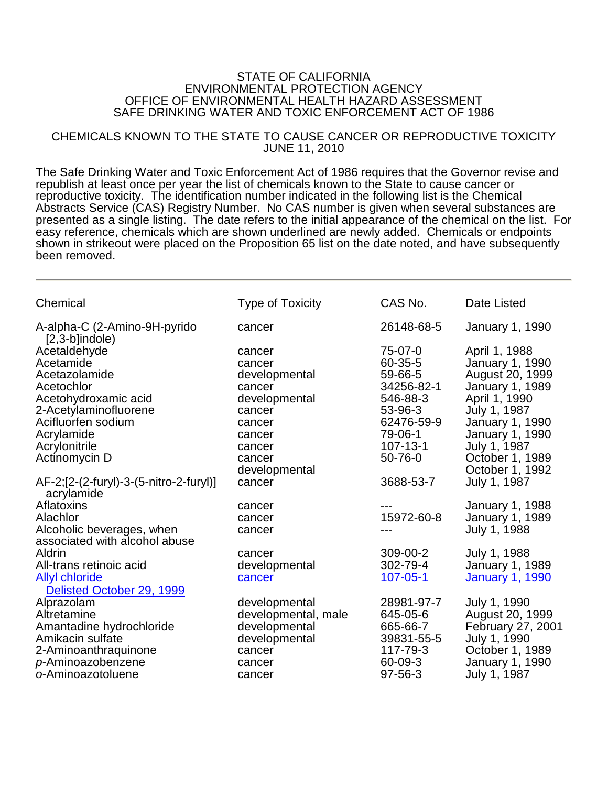## STATE OF CALIFORNIA ENVIRONMENTAL PROTECTION AGENCY OFFICE OF ENVIRONMENTAL HEALTH HAZARD ASSESSMENT SAFE DRINKING WATER AND TOXIC ENFORCEMENT ACT OF 1986

## CHEMICALS KNOWN TO THE STATE TO CAUSE CANCER OR REPRODUCTIVE TOXICITY JUNE 11, 2010

The Safe Drinking Water and Toxic Enforcement Act of 1986 requires that the Governor revise and republish at least once per year the list of chemicals known to the State to cause cancer or reproductive toxicity. The identification number indicated in the following list is the Chemical Abstracts Service (CAS) Registry Number. No CAS number is given when several substances are presented as a single listing. The date refers to the initial appearance of the chemical on the list. For easy reference, chemicals which are shown underlined are newly added. Chemicals or endpoints shown in strikeout were placed on the Proposition 65 list on the date noted, and have subsequently been removed.

| Chemical                                             | <b>Type of Toxicity</b> | CAS No.        | Date Listed            |
|------------------------------------------------------|-------------------------|----------------|------------------------|
| A-alpha-C (2-Amino-9H-pyrido<br>$[2,3-b]$ indole)    | cancer                  | 26148-68-5     | January 1, 1990        |
| Acetaldehyde                                         | cancer                  | 75-07-0        | April 1, 1988          |
| Acetamide                                            | cancer                  | 60-35-5        | January 1, 1990        |
| Acetazolamide                                        | developmental           | 59-66-5        | August 20, 1999        |
| Acetochlor                                           | cancer                  | 34256-82-1     | January 1, 1989        |
| Acetohydroxamic acid                                 | developmental           | 546-88-3       | April 1, 1990          |
| 2-Acetylaminofluorene                                | cancer                  | 53-96-3        | July 1, 1987           |
| Acifluorfen sodium                                   | cancer                  | 62476-59-9     | <b>January 1, 1990</b> |
| Acrylamide                                           | cancer                  | 79-06-1        | <b>January 1, 1990</b> |
| Acrylonitrile                                        | cancer                  | $107 - 13 - 1$ | July 1, 1987           |
| Actinomycin D                                        | cancer                  | 50-76-0        | October 1, 1989        |
|                                                      | developmental           |                | October 1, 1992        |
| AF-2;[2-(2-furyl)-3-(5-nitro-2-furyl)]<br>acrylamide | cancer                  | 3688-53-7      | July 1, 1987           |
| Aflatoxins                                           | cancer                  |                | <b>January 1, 1988</b> |
| Alachlor                                             | cancer                  | 15972-60-8     | January 1, 1989        |
| Alcoholic beverages, when                            | cancer                  |                | July 1, 1988           |
| associated with alcohol abuse                        |                         |                |                        |
| Aldrin                                               | cancer                  | 309-00-2       | July 1, 1988           |
| All-trans retinoic acid                              | developmental           | 302-79-4       | January 1, 1989        |
| <b>Allyl chloride</b>                                | cancer                  | 407-05-4       | January 1, 1990        |
| Delisted October 29, 1999                            |                         |                |                        |
| Alprazolam                                           | developmental           | 28981-97-7     | July 1, 1990           |
| Altretamine                                          | developmental, male     | 645-05-6       | August 20, 1999        |
| Amantadine hydrochloride                             | developmental           | 665-66-7       | February 27, 2001      |
| Amikacin sulfate                                     | developmental           | 39831-55-5     | July 1, 1990           |
| 2-Aminoanthraquinone                                 | cancer                  | 117-79-3       | October 1, 1989        |
| p-Aminoazobenzene                                    | cancer                  | 60-09-3        | January 1, 1990        |
| o-Aminoazotoluene                                    | cancer                  | 97-56-3        | July 1, 1987           |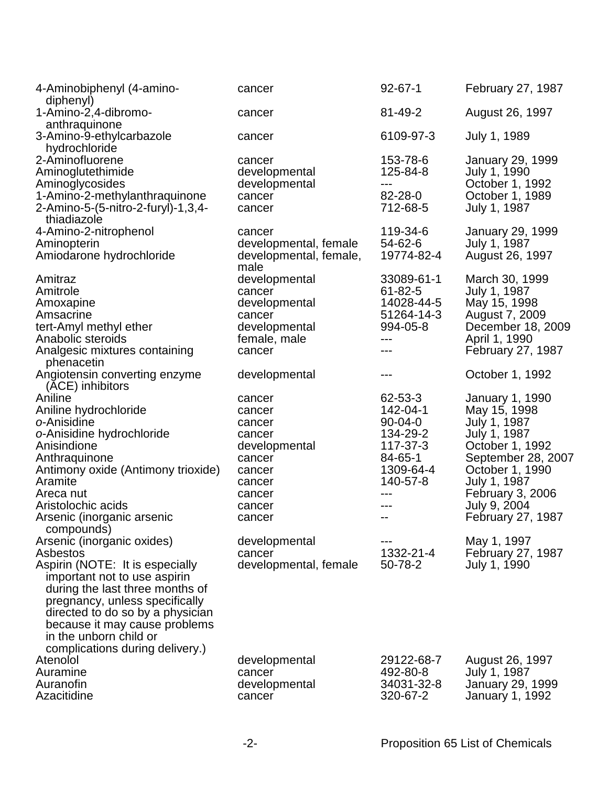| 4-Aminobiphenyl (4-amino-<br>diphenyl)                                                                                                                                                                    | cancer                                                  | $92 - 67 - 1$                 | February 27, 1987                                  |
|-----------------------------------------------------------------------------------------------------------------------------------------------------------------------------------------------------------|---------------------------------------------------------|-------------------------------|----------------------------------------------------|
| 1-Amino-2,4-dibromo-<br>anthraquinone                                                                                                                                                                     | cancer                                                  | 81-49-2                       | August 26, 1997                                    |
| 3-Amino-9-ethylcarbazole<br>hydrochloride                                                                                                                                                                 | cancer                                                  | 6109-97-3                     | July 1, 1989                                       |
| 2-Aminofluorene<br>Aminoglutethimide                                                                                                                                                                      | cancer<br>developmental                                 | 153-78-6<br>125-84-8<br>$---$ | <b>January 29, 1999</b><br>July 1, 1990            |
| Aminoglycosides<br>1-Amino-2-methylanthraquinone<br>2-Amino-5-(5-nitro-2-furyl)-1,3,4-<br>thiadiazole                                                                                                     | developmental<br>cancer<br>cancer                       | 82-28-0<br>712-68-5           | October 1, 1992<br>October 1, 1989<br>July 1, 1987 |
| 4-Amino-2-nitrophenol                                                                                                                                                                                     | cancer                                                  | 119-34-6                      | <b>January 29, 1999</b>                            |
| Aminopterin<br>Amiodarone hydrochloride                                                                                                                                                                   | developmental, female<br>developmental, female,<br>male | 54-62-6<br>19774-82-4         | July 1, 1987<br>August 26, 1997                    |
| Amitraz<br>Amitrole                                                                                                                                                                                       | developmental<br>cancer                                 | 33089-61-1<br>$61 - 82 - 5$   | March 30, 1999<br>July 1, 1987                     |
| Amoxapine                                                                                                                                                                                                 | developmental                                           | 14028-44-5                    | May 15, 1998                                       |
| Amsacrine                                                                                                                                                                                                 | cancer                                                  | 51264-14-3                    | August 7, 2009                                     |
| tert-Amyl methyl ether<br>Anabolic steroids                                                                                                                                                               | developmental<br>female, male                           | 994-05-8<br>---               | December 18, 2009<br>April 1, 1990                 |
| Analgesic mixtures containing<br>phenacetin                                                                                                                                                               | cancer                                                  | ---                           | February 27, 1987                                  |
| Angiotensin converting enzyme<br>(ACE) inhibitors                                                                                                                                                         | developmental                                           |                               | October 1, 1992                                    |
| Aniline                                                                                                                                                                                                   | cancer                                                  | 62-53-3                       | <b>January 1, 1990</b>                             |
| Aniline hydrochloride                                                                                                                                                                                     | cancer                                                  | 142-04-1                      | May 15, 1998                                       |
| o-Anisidine                                                                                                                                                                                               | cancer                                                  | $90 - 04 - 0$                 | July 1, 1987                                       |
| o-Anisidine hydrochloride<br>Anisindione                                                                                                                                                                  | cancer                                                  | 134-29-2<br>117-37-3          | July 1, 1987<br>October 1, 1992                    |
| Anthraquinone                                                                                                                                                                                             | developmental<br>cancer                                 | 84-65-1                       | September 28, 2007                                 |
| Antimony oxide (Antimony trioxide)                                                                                                                                                                        | cancer                                                  | 1309-64-4                     | October 1, 1990                                    |
| Aramite                                                                                                                                                                                                   | cancer                                                  | 140-57-8                      | July 1, 1987                                       |
| Areca nut                                                                                                                                                                                                 | cancer                                                  |                               | <b>February 3, 2006</b>                            |
| Aristolochic acids                                                                                                                                                                                        | cancer                                                  |                               | July 9, 2004                                       |
| Arsenic (inorganic arsenic<br>compounds)                                                                                                                                                                  | cancer                                                  | --                            | February 27, 1987                                  |
| Arsenic (inorganic oxides)                                                                                                                                                                                | developmental                                           |                               | May 1, 1997                                        |
| Asbestos                                                                                                                                                                                                  | cancer                                                  | 1332-21-4                     | February 27, 1987                                  |
| Aspirin (NOTE: It is especially<br>important not to use aspirin<br>during the last three months of<br>pregnancy, unless specifically<br>directed to do so by a physician<br>because it may cause problems | developmental, female                                   | 50-78-2                       | July 1, 1990                                       |
| in the unborn child or                                                                                                                                                                                    |                                                         |                               |                                                    |
| complications during delivery.)                                                                                                                                                                           |                                                         |                               |                                                    |
| Atenolol                                                                                                                                                                                                  | developmental                                           | 29122-68-7                    | August 26, 1997                                    |
| Auramine                                                                                                                                                                                                  | cancer                                                  | 492-80-8                      | July 1, 1987                                       |
| Auranofin                                                                                                                                                                                                 | developmental                                           | 34031-32-8                    | <b>January 29, 1999</b>                            |
| Azacitidine                                                                                                                                                                                               | cancer                                                  | 320-67-2                      | January 1, 1992                                    |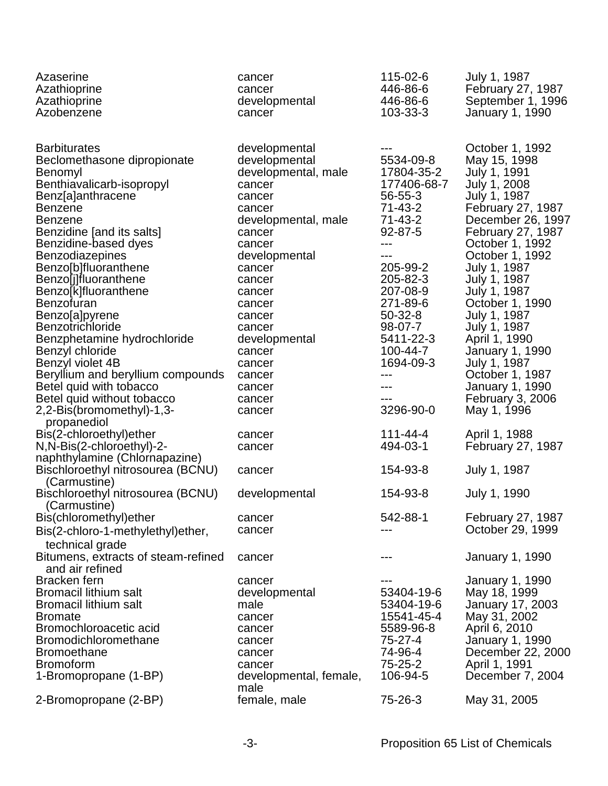| Azaserine<br>Azathioprine<br>Azathioprine<br>Azobenzene                                                                                                                                                                                                                                                                                                                                                                                                                                                                                                                | cancer<br>cancer<br>developmental<br>cancer                                                                                                                                                                                                                                              | 115-02-6<br>446-86-6<br>446-86-6<br>103-33-3                                                                                                                                                                                           | July 1, 1987<br>February 27, 1987<br>September 1, 1996<br>January 1, 1990                                                                                                                                                                                                                                                                                                                                                                 |
|------------------------------------------------------------------------------------------------------------------------------------------------------------------------------------------------------------------------------------------------------------------------------------------------------------------------------------------------------------------------------------------------------------------------------------------------------------------------------------------------------------------------------------------------------------------------|------------------------------------------------------------------------------------------------------------------------------------------------------------------------------------------------------------------------------------------------------------------------------------------|----------------------------------------------------------------------------------------------------------------------------------------------------------------------------------------------------------------------------------------|-------------------------------------------------------------------------------------------------------------------------------------------------------------------------------------------------------------------------------------------------------------------------------------------------------------------------------------------------------------------------------------------------------------------------------------------|
| <b>Barbiturates</b><br>Beclomethasone dipropionate<br>Benomyl<br>Benthiavalicarb-isopropyl<br>Benz[a]anthracene<br><b>Benzene</b><br><b>Benzene</b><br>Benzidine [and its salts]<br>Benzidine-based dyes<br><b>Benzodiazepines</b><br>Benzo[b]fluoranthene<br>Benzo[j]fluoranthene<br>Benzo[k]fluoranthene<br>Benzofuran<br>Benzo[a]pyrene<br><b>Benzotrichloride</b><br>Benzphetamine hydrochloride<br>Benzyl chloride<br>Benzyl violet 4B<br>Beryllium and beryllium compounds<br>Betel quid with tobacco<br>Betel quid without tobacco<br>2,2-Bis(bromomethyl)-1,3- | developmental<br>developmental<br>developmental, male<br>cancer<br>cancer<br>cancer<br>developmental, male<br>cancer<br>cancer<br>developmental<br>cancer<br>cancer<br>cancer<br>cancer<br>cancer<br>cancer<br>developmental<br>cancer<br>cancer<br>cancer<br>cancer<br>cancer<br>cancer | 5534-09-8<br>17804-35-2<br>177406-68-7<br>56-55-3<br>71-43-2<br>71-43-2<br>92-87-5<br>---<br>---<br>205-99-2<br>205-82-3<br>207-08-9<br>271-89-6<br>$50 - 32 - 8$<br>98-07-7<br>5411-22-3<br>100-44-7<br>1694-09-3<br>---<br>3296-90-0 | October 1, 1992<br>May 15, 1998<br>July 1, 1991<br>July 1, 2008<br>July 1, 1987<br>February 27, 1987<br>December 26, 1997<br><b>February 27, 1987</b><br>October 1, 1992<br>October 1, 1992<br>July 1, 1987<br>July 1, 1987<br>July 1, 1987<br>October 1, 1990<br>July 1, 1987<br>July 1, 1987<br>April 1, 1990<br><b>January 1, 1990</b><br>July 1, 1987<br>October 1, 1987<br>January 1, 1990<br><b>February 3, 2006</b><br>May 1, 1996 |
| propanediol<br>Bis(2-chloroethyl)ether<br>N, N-Bis(2-chloroethyl)-2-                                                                                                                                                                                                                                                                                                                                                                                                                                                                                                   | cancer<br>cancer                                                                                                                                                                                                                                                                         | $111 - 44 - 4$<br>494-03-1                                                                                                                                                                                                             | April 1, 1988<br><b>February 27, 1987</b>                                                                                                                                                                                                                                                                                                                                                                                                 |
| naphthylamine (Chlornapazine)<br>Bischloroethyl nitrosourea (BCNU)                                                                                                                                                                                                                                                                                                                                                                                                                                                                                                     | cancer                                                                                                                                                                                                                                                                                   | 154-93-8                                                                                                                                                                                                                               | July 1, 1987                                                                                                                                                                                                                                                                                                                                                                                                                              |
| (Carmustine)<br>Bischloroethyl nitrosourea (BCNU)<br>(Carmustine)                                                                                                                                                                                                                                                                                                                                                                                                                                                                                                      | developmental                                                                                                                                                                                                                                                                            | 154-93-8                                                                                                                                                                                                                               | July 1, 1990                                                                                                                                                                                                                                                                                                                                                                                                                              |
| Bis(chloromethyl) ether<br>Bis(2-chloro-1-methylethyl)ether,<br>technical grade                                                                                                                                                                                                                                                                                                                                                                                                                                                                                        | cancer<br>cancer                                                                                                                                                                                                                                                                         | 542-88-1                                                                                                                                                                                                                               | February 27, 1987<br>October 29, 1999                                                                                                                                                                                                                                                                                                                                                                                                     |
| Bitumens, extracts of steam-refined<br>and air refined                                                                                                                                                                                                                                                                                                                                                                                                                                                                                                                 | cancer                                                                                                                                                                                                                                                                                   |                                                                                                                                                                                                                                        | <b>January 1, 1990</b>                                                                                                                                                                                                                                                                                                                                                                                                                    |
| Bracken fern<br><b>Bromacil lithium salt</b><br><b>Bromacil lithium salt</b><br><b>Bromate</b><br>Bromochloroacetic acid<br><b>Bromodichloromethane</b><br><b>Bromoethane</b><br><b>Bromoform</b><br>1-Bromopropane (1-BP)                                                                                                                                                                                                                                                                                                                                             | cancer<br>developmental<br>male<br>cancer<br>cancer<br>cancer<br>cancer<br>cancer<br>developmental, female,<br>male                                                                                                                                                                      | 53404-19-6<br>53404-19-6<br>15541-45-4<br>5589-96-8<br>$75 - 27 - 4$<br>74-96-4<br>75-25-2<br>106-94-5                                                                                                                                 | January 1, 1990<br>May 18, 1999<br>January 17, 2003<br>May 31, 2002<br>April 6, 2010<br>January 1, 1990<br>December 22, 2000<br>April 1, 1991<br>December 7, 2004                                                                                                                                                                                                                                                                         |
| 2-Bromopropane (2-BP)                                                                                                                                                                                                                                                                                                                                                                                                                                                                                                                                                  | female, male                                                                                                                                                                                                                                                                             | 75-26-3                                                                                                                                                                                                                                | May 31, 2005                                                                                                                                                                                                                                                                                                                                                                                                                              |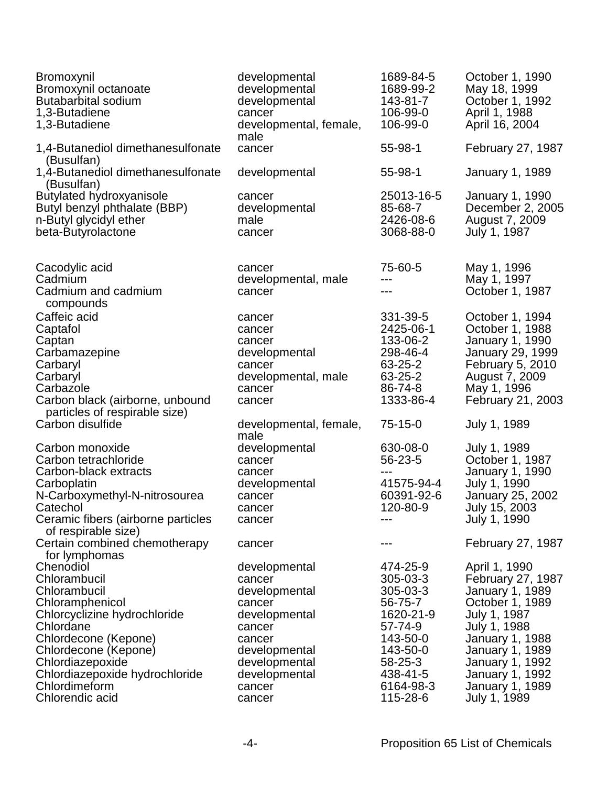| Bromoxynil<br>Bromoxynil octanoate<br><b>Butabarbital sodium</b><br>1,3-Butadiene<br>1,3-Butadiene                                                                                                                                                  | developmental<br>developmental<br>developmental<br>cancer<br>developmental, female,<br>male                                                                    | 1689-84-5<br>1689-99-2<br>143-81-7<br>106-99-0<br>106-99-0                                                                                  | October 1, 1990<br>May 18, 1999<br>October 1, 1992<br>April 1, 1988<br>April 16, 2004                                                                                                                                                 |
|-----------------------------------------------------------------------------------------------------------------------------------------------------------------------------------------------------------------------------------------------------|----------------------------------------------------------------------------------------------------------------------------------------------------------------|---------------------------------------------------------------------------------------------------------------------------------------------|---------------------------------------------------------------------------------------------------------------------------------------------------------------------------------------------------------------------------------------|
| 1,4-Butanediol dimethanesulfonate<br>(Busulfan)                                                                                                                                                                                                     | cancer                                                                                                                                                         | 55-98-1                                                                                                                                     | February 27, 1987                                                                                                                                                                                                                     |
| 1,4-Butanediol dimethanesulfonate<br>(Busulfan)                                                                                                                                                                                                     | developmental                                                                                                                                                  | $55 - 98 - 1$                                                                                                                               | <b>January 1, 1989</b>                                                                                                                                                                                                                |
| Butylated hydroxyanisole<br>Butyl benzyl phthalate (BBP)<br>n-Butyl glycidyl ether<br>beta-Butyrolactone                                                                                                                                            | cancer<br>developmental<br>male<br>cancer                                                                                                                      | 25013-16-5<br>85-68-7<br>2426-08-6<br>3068-88-0                                                                                             | <b>January 1, 1990</b><br>December 2, 2005<br>August 7, 2009<br>July 1, 1987                                                                                                                                                          |
| Cacodylic acid<br>Cadmium<br>Cadmium and cadmium<br>compounds                                                                                                                                                                                       | cancer<br>developmental, male<br>cancer                                                                                                                        | 75-60-5<br>---<br>---                                                                                                                       | May 1, 1996<br>May 1, 1997<br>October 1, 1987                                                                                                                                                                                         |
| Caffeic acid<br>Captafol<br>Captan<br>Carbamazepine<br>Carbaryl<br>Carbaryl<br>Carbazole<br>Carbon black (airborne, unbound                                                                                                                         | cancer<br>cancer<br>cancer<br>developmental<br>cancer<br>developmental, male<br>cancer<br>cancer                                                               | 331-39-5<br>2425-06-1<br>133-06-2<br>298-46-4<br>63-25-2<br>63-25-2<br>86-74-8<br>1333-86-4                                                 | October 1, 1994<br>October 1, 1988<br>January 1, 1990<br><b>January 29, 1999</b><br>February 5, 2010<br>August 7, 2009<br>May 1, 1996<br>February 21, 2003                                                                            |
| particles of respirable size)<br>Carbon disulfide                                                                                                                                                                                                   | developmental, female,<br>male                                                                                                                                 | $75-15-0$                                                                                                                                   | July 1, 1989                                                                                                                                                                                                                          |
| Carbon monoxide<br>Carbon tetrachloride<br>Carbon-black extracts<br>Carboplatin<br>N-Carboxymethyl-N-nitrosourea<br>Catechol<br>Ceramic fibers (airborne particles<br>of respirable size)                                                           | developmental<br>cancer<br>cancer<br>developmental<br>cancer<br>cancer<br>cancer                                                                               | 630-08-0<br>56-23-5<br>---<br>41575-94-4<br>60391-92-6<br>120-80-9                                                                          | July 1, 1989<br>October 1, 1987<br>January 1, 1990<br>July 1, 1990<br>January 25, 2002<br>July 15, 2003<br>July 1, 1990                                                                                                               |
| Certain combined chemotherapy<br>for lymphomas                                                                                                                                                                                                      | cancer                                                                                                                                                         |                                                                                                                                             | February 27, 1987                                                                                                                                                                                                                     |
| Chenodiol<br>Chlorambucil<br>Chlorambucil<br>Chloramphenicol<br>Chlorcyclizine hydrochloride<br>Chlordane<br>Chlordecone (Kepone)<br>Chlordecone (Kepone)<br>Chlordiazepoxide<br>Chlordiazepoxide hydrochloride<br>Chlordimeform<br>Chlorendic acid | developmental<br>cancer<br>developmental<br>cancer<br>developmental<br>cancer<br>cancer<br>developmental<br>developmental<br>developmental<br>cancer<br>cancer | 474-25-9<br>305-03-3<br>305-03-3<br>56-75-7<br>1620-21-9<br>57-74-9<br>143-50-0<br>143-50-0<br>58-25-3<br>438-41-5<br>6164-98-3<br>115-28-6 | April 1, 1990<br>February 27, 1987<br>January 1, 1989<br>October 1, 1989<br>July 1, 1987<br>July 1, 1988<br>January 1, 1988<br><b>January 1, 1989</b><br>January 1, 1992<br>January 1, 1992<br><b>January 1, 1989</b><br>July 1, 1989 |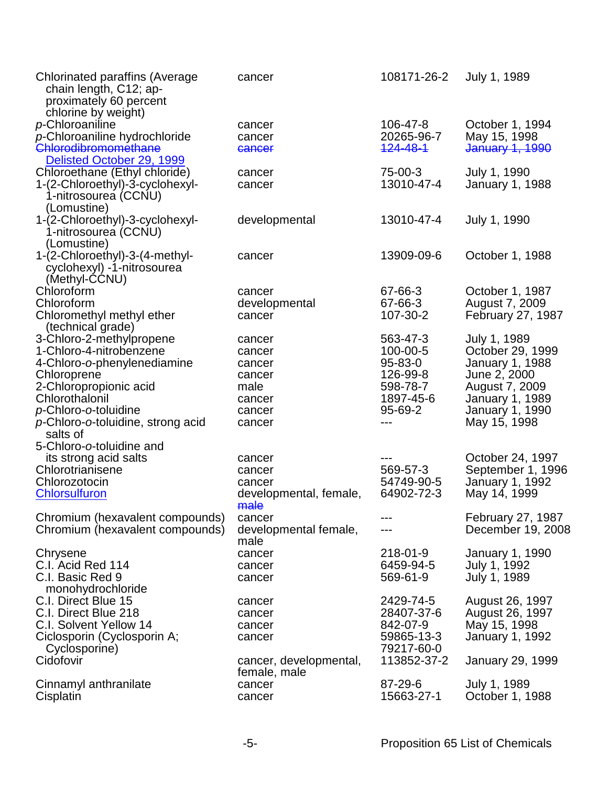| <b>Chlorinated paraffins (Average</b><br>chain length, C12; ap-<br>proximately 60 percent<br>chlorine by weight) | cancer                 | 108171-26-2 | July 1, 1989            |
|------------------------------------------------------------------------------------------------------------------|------------------------|-------------|-------------------------|
| p-Chloroaniline                                                                                                  | cancer                 | 106-47-8    | October 1, 1994         |
| p-Chloroaniline hydrochloride                                                                                    | cancer                 | 20265-96-7  | May 15, 1998            |
| Chlorodibromomethane                                                                                             | cancer                 | 124-48-1    | January 1, 1990         |
| Delisted October 29, 1999                                                                                        |                        |             |                         |
|                                                                                                                  |                        | 75-00-3     |                         |
| Chloroethane (Ethyl chloride)                                                                                    | cancer                 | 13010-47-4  | July 1, 1990            |
| 1-(2-Chloroethyl)-3-cyclohexyl-                                                                                  | cancer                 |             | <b>January 1, 1988</b>  |
| 1-nitrosourea (CCNU)                                                                                             |                        |             |                         |
| (Lomustine)                                                                                                      |                        |             |                         |
| 1-(2-Chloroethyl)-3-cyclohexyl-                                                                                  | developmental          | 13010-47-4  | July 1, 1990            |
| 1-nitrosourea (CCNU)                                                                                             |                        |             |                         |
| (Lomustine)                                                                                                      |                        |             |                         |
| 1-(2-Chloroethyl)-3-(4-methyl-                                                                                   | cancer                 | 13909-09-6  | October 1, 1988         |
| cyclohexyl) -1-nitrosourea                                                                                       |                        |             |                         |
| (Methyl-CCNU)                                                                                                    |                        |             |                         |
| Chloroform                                                                                                       | cancer                 | 67-66-3     | October 1, 1987         |
| Chloroform                                                                                                       | developmental          | 67-66-3     | August 7, 2009          |
| Chloromethyl methyl ether                                                                                        | cancer                 | 107-30-2    | February 27, 1987       |
| (technical grade)                                                                                                |                        |             |                         |
| 3-Chloro-2-methylpropene                                                                                         | cancer                 | 563-47-3    | July 1, 1989            |
| 1-Chloro-4-nitrobenzene                                                                                          | cancer                 | 100-00-5    | October 29, 1999        |
| 4-Chloro-o-phenylenediamine                                                                                      | cancer                 | 95-83-0     | <b>January 1, 1988</b>  |
| Chloroprene                                                                                                      | cancer                 | 126-99-8    | June 2, 2000            |
| 2-Chloropropionic acid                                                                                           | male                   | 598-78-7    | August 7, 2009          |
| Chlorothalonil                                                                                                   | cancer                 | 1897-45-6   | <b>January 1, 1989</b>  |
| p-Chloro-o-toluidine                                                                                             | cancer                 | 95-69-2     | <b>January 1, 1990</b>  |
| p-Chloro-o-toluidine, strong acid                                                                                | cancer                 | $---$       | May 15, 1998            |
| salts of                                                                                                         |                        |             |                         |
| 5-Chloro-o-toluidine and                                                                                         |                        |             |                         |
| its strong acid salts                                                                                            | cancer                 |             | October 24, 1997        |
| Chlorotrianisene                                                                                                 | cancer                 | 569-57-3    | September 1, 1996       |
| Chlorozotocin                                                                                                    | cancer                 | 54749-90-5  | January 1, 1992         |
| <b>Chlorsulfuron</b>                                                                                             | developmental, female, | 64902-72-3  | May 14, 1999            |
|                                                                                                                  | male                   |             |                         |
| Chromium (hexavalent compounds)                                                                                  | cancer                 | ---         | February 27, 1987       |
| Chromium (hexavalent compounds)                                                                                  | developmental female,  |             | December 19, 2008       |
|                                                                                                                  | male                   |             |                         |
| Chrysene                                                                                                         | cancer                 | 218-01-9    | January 1, 1990         |
| C.I. Acid Red 114                                                                                                | cancer                 | 6459-94-5   | July 1, 1992            |
| C.I. Basic Red 9                                                                                                 | cancer                 | 569-61-9    | July 1, 1989            |
| monohydrochloride                                                                                                |                        |             |                         |
| C.I. Direct Blue 15                                                                                              | cancer                 | 2429-74-5   | August 26, 1997         |
| C.I. Direct Blue 218                                                                                             | cancer                 | 28407-37-6  | August 26, 1997         |
| C.I. Solvent Yellow 14                                                                                           | cancer                 | 842-07-9    | May 15, 1998            |
| Ciclosporin (Cyclosporin A;                                                                                      | cancer                 | 59865-13-3  | January 1, 1992         |
| Cyclosporine)                                                                                                    |                        | 79217-60-0  |                         |
| Cidofovir                                                                                                        | cancer, developmental, | 113852-37-2 | <b>January 29, 1999</b> |
|                                                                                                                  | female, male           |             |                         |
| Cinnamyl anthranilate                                                                                            | cancer                 | 87-29-6     | July 1, 1989            |
| Cisplatin                                                                                                        | cancer                 | 15663-27-1  | October 1, 1988         |
|                                                                                                                  |                        |             |                         |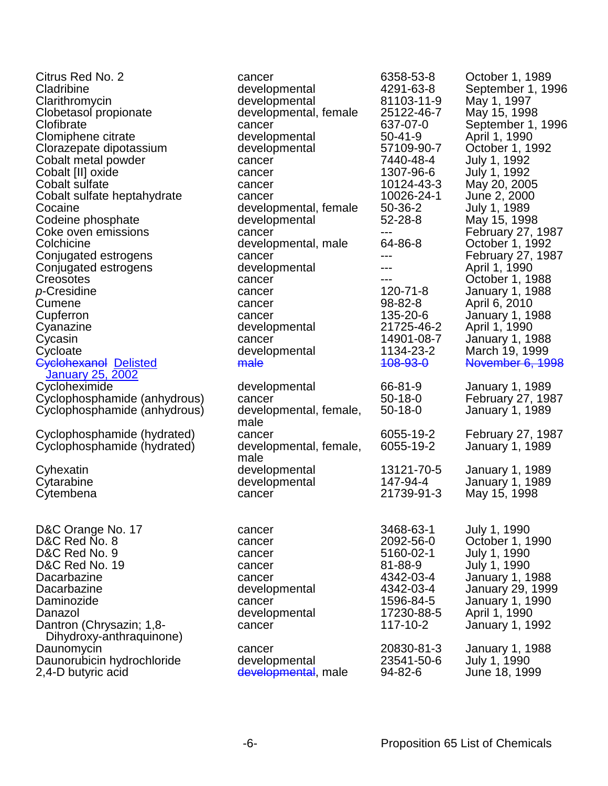| Citrus Red No. 2             | cancer                 | 6358-53-8     | October 1, 1989         |
|------------------------------|------------------------|---------------|-------------------------|
| Cladribine                   | developmental          | 4291-63-8     | September 1, 1996       |
| Clarithromycin               | developmental          | 81103-11-9    | May 1, 1997             |
| Clobetasol propionate        | developmental, female  | 25122-46-7    | May 15, 1998            |
| Clofibrate                   | cancer                 | 637-07-0      | September 1, 1996       |
| Clomiphene citrate           | developmental          | $50 - 41 - 9$ | April 1, 1990           |
| Clorazepate dipotassium      | developmental          | 57109-90-7    | October 1, 1992         |
| Cobalt metal powder          | cancer                 | 7440-48-4     | July 1, 1992            |
| Cobalt [II] oxide            | cancer                 | 1307-96-6     | July 1, 1992            |
| Cobalt sulfate               | cancer                 | 10124-43-3    | May 20, 2005            |
| Cobalt sulfate heptahydrate  | cancer                 | 10026-24-1    | June 2, 2000            |
| Cocaine                      | developmental, female  | 50-36-2       | July 1, 1989            |
| Codeine phosphate            | developmental          | 52-28-8       | May 15, 1998            |
| Coke oven emissions          | cancer                 | ---           |                         |
| Colchicine                   |                        | 64-86-8       | February 27, 1987       |
|                              | developmental, male    |               | October 1, 1992         |
| Conjugated estrogens         | cancer                 | ---           | February 27, 1987       |
| Conjugated estrogens         | developmental          | ---           | April 1, 1990           |
| Creosotes                    | cancer                 | ---           | October 1, 1988         |
| p-Cresidine                  | cancer                 | 120-71-8      | <b>January 1, 1988</b>  |
| Cumene                       | cancer                 | 98-82-8       | April 6, 2010           |
| Cupferron                    | cancer                 | 135-20-6      | <b>January 1, 1988</b>  |
| Cyanazine                    | developmental          | 21725-46-2    | April 1, 1990           |
| Cycasin                      | cancer                 | 14901-08-7    | <b>January 1, 1988</b>  |
| Cycloate                     | developmental          | 1134-23-2     | March 19, 1999          |
| <b>Cyclohexanol Delisted</b> | male                   | 408-93-0      | November 6, 1998        |
| January 25, 2002             |                        |               |                         |
| Cycloheximide                | developmental          | 66-81-9       | <b>January 1, 1989</b>  |
| Cyclophosphamide (anhydrous) | cancer                 | $50 - 18 - 0$ | February 27, 1987       |
| Cyclophosphamide (anhydrous) | developmental, female, | $50 - 18 - 0$ | <b>January 1, 1989</b>  |
|                              | male                   |               |                         |
| Cyclophosphamide (hydrated)  | cancer                 | 6055-19-2     | February 27, 1987       |
| Cyclophosphamide (hydrated)  | developmental, female, | 6055-19-2     | January 1, 1989         |
|                              | male                   |               |                         |
| Cyhexatin                    | developmental          | 13121-70-5    | January 1, 1989         |
| Cytarabine                   | developmental          | 147-94-4      | <b>January 1, 1989</b>  |
| Cytembena                    | cancer                 | 21739-91-3    | May 15, 1998            |
|                              |                        |               |                         |
|                              |                        |               |                         |
| D&C Orange No. 17            | cancer                 | 3468-63-1     | July 1, 1990            |
| D&C Red No. 8                | cancer                 | 2092-56-0     | October 1, 1990         |
| D&C Red No. 9                | cancer                 | 5160-02-1     | July 1, 1990            |
| D&C Red No. 19               | cancer                 | 81-88-9       | July 1, 1990            |
| Dacarbazine                  | cancer                 | 4342-03-4     | January 1, 1988         |
| Dacarbazine                  | developmental          | 4342-03-4     | <b>January 29, 1999</b> |
| Daminozide                   | cancer                 | 1596-84-5     | January 1, 1990         |
| Danazol                      | developmental          | 17230-88-5    | April 1, 1990           |
| Dantron (Chrysazin; 1,8-     | cancer                 | 117-10-2      | January 1, 1992         |
| Dihydroxy-anthraquinone)     |                        |               |                         |
| Daunomycin                   | cancer                 | 20830-81-3    | January 1, 1988         |
| Daunorubicin hydrochloride   | developmental          | 23541-50-6    | July 1, 1990            |
|                              | developmental, male    | 94-82-6       | June 18, 1999           |
| 2,4-D butyric acid           |                        |               |                         |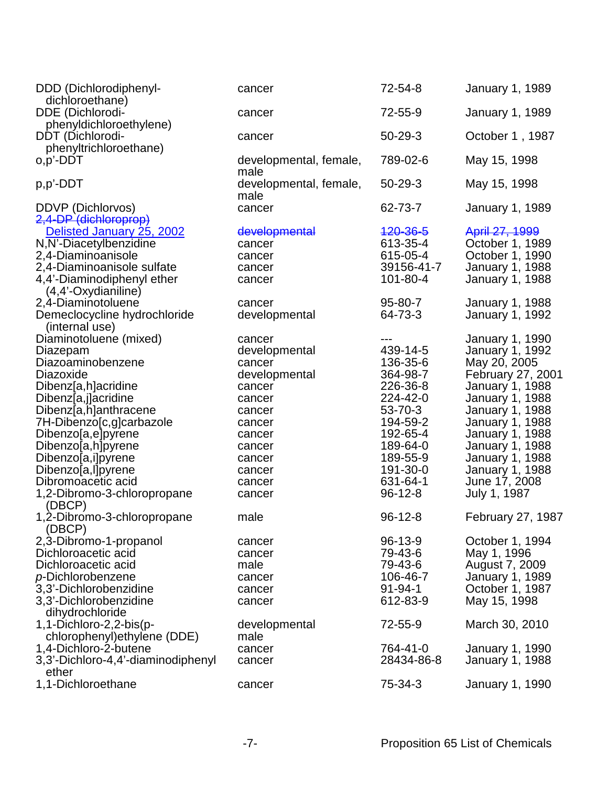| DDD (Dichlorodiphenyl-<br>dichloroethane)                                                                                              | cancer                                                | 72-54-8                                                    | <b>January 1, 1989</b>                                                                                   |
|----------------------------------------------------------------------------------------------------------------------------------------|-------------------------------------------------------|------------------------------------------------------------|----------------------------------------------------------------------------------------------------------|
| DDE (Dichlorodi-<br>phenyldichloroethylene)                                                                                            | cancer                                                | 72-55-9                                                    | <b>January 1, 1989</b>                                                                                   |
| DDT (Dichlorodi-<br>phenyltrichloroethane)                                                                                             | cancer                                                | 50-29-3                                                    | October 1, 1987                                                                                          |
| o,p'-DDT                                                                                                                               | developmental, female,<br>male                        | 789-02-6                                                   | May 15, 1998                                                                                             |
| p,p'-DDT                                                                                                                               | developmental, female,<br>male                        | 50-29-3                                                    | May 15, 1998                                                                                             |
| DDVP (Dichlorvos)<br>2,4-DP (dichloroprop)                                                                                             | cancer                                                | 62-73-7                                                    | <b>January 1, 1989</b>                                                                                   |
| Delisted January 25, 2002<br>N, N'-Diacetylbenzidine<br>2,4-Diaminoanisole<br>2,4-Diaminoanisole sulfate<br>4,4'-Diaminodiphenyl ether | developmental<br>cancer<br>cancer<br>cancer<br>cancer | 420-36-5<br>613-35-4<br>615-05-4<br>39156-41-7<br>101-80-4 | April 27, 1999<br>October 1, 1989<br>October 1, 1990<br><b>January 1, 1988</b><br><b>January 1, 1988</b> |
| $(4,4'-Oxydianiline)$<br>2,4-Diaminotoluene                                                                                            | cancer                                                | 95-80-7                                                    | <b>January 1, 1988</b>                                                                                   |
| Demeclocycline hydrochloride<br>(internal use)                                                                                         | developmental                                         | 64-73-3                                                    | <b>January 1, 1992</b>                                                                                   |
| Diaminotoluene (mixed)<br>Diazepam                                                                                                     | cancer<br>developmental                               | 439-14-5                                                   | <b>January 1, 1990</b><br><b>January 1, 1992</b>                                                         |
| Diazoaminobenzene<br>Diazoxide<br>Dibenz[a,h]acridine                                                                                  | cancer<br>developmental<br>cancer                     | 136-35-6<br>364-98-7<br>226-36-8                           | May 20, 2005<br>February 27, 2001<br><b>January 1, 1988</b>                                              |
| Dibenz[a,j]acridine<br>Dibenz[a,h]anthracene<br>7H-Dibenzo[c,g]carbazole                                                               | cancer<br>cancer<br>cancer                            | 224-42-0<br>53-70-3<br>194-59-2                            | <b>January 1, 1988</b><br><b>January 1, 1988</b><br><b>January 1, 1988</b>                               |
| Dibenzo[a,e]pyrene<br>Dibenzo[a,h]pyrene<br>Dibenzo[a,i]pyrene                                                                         | cancer<br>cancer<br>cancer                            | 192-65-4<br>189-64-0<br>189-55-9                           | <b>January 1, 1988</b><br><b>January 1, 1988</b><br><b>January 1, 1988</b>                               |
| Dibenzo[a,l]pyrene<br>Dibromoacetic acid                                                                                               | cancer<br>cancer                                      | 191-30-0<br>631-64-1                                       | <b>January 1, 1988</b><br>June 17, 2008                                                                  |
| 1,2-Dibromo-3-chloropropane<br>(DBCP)                                                                                                  | cancer                                                | $96 - 12 - 8$                                              | July 1, 1987                                                                                             |
| 1,2-Dibromo-3-chloropropane<br>(DBCP)                                                                                                  | male                                                  | $96 - 12 - 8$                                              | February 27, 1987                                                                                        |
| 2,3-Dibromo-1-propanol<br>Dichloroacetic acid<br>Dichloroacetic acid                                                                   | cancer<br>cancer<br>male                              | 96-13-9<br>79-43-6<br>79-43-6                              | October 1, 1994<br>May 1, 1996<br>August 7, 2009                                                         |
| p-Dichlorobenzene<br>3,3'-Dichlorobenzidine<br>3,3'-Dichlorobenzidine                                                                  | cancer<br>cancer<br>cancer                            | 106-46-7<br>$91 - 94 - 1$<br>612-83-9                      | <b>January 1, 1989</b><br>October 1, 1987<br>May 15, 1998                                                |
| dihydrochloride<br>1,1-Dichloro-2,2-bis(p-<br>chlorophenyl) ethylene (DDE)                                                             | developmental<br>male                                 | 72-55-9                                                    | March 30, 2010                                                                                           |
| 1,4-Dichloro-2-butene<br>3,3'-Dichloro-4,4'-diaminodiphenyl                                                                            | cancer<br>cancer                                      | 764-41-0<br>28434-86-8                                     | <b>January 1, 1990</b><br>January 1, 1988                                                                |
| ether<br>1,1-Dichloroethane                                                                                                            | cancer                                                | 75-34-3                                                    | January 1, 1990                                                                                          |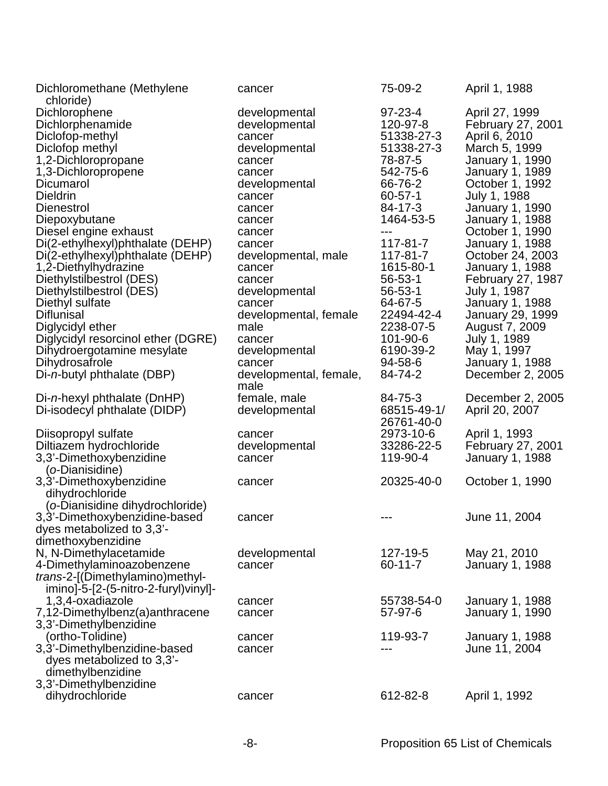| Dichloromethane (Methylene<br>chloride) | cancer                 | 75-09-2       | April 1, 1988           |
|-----------------------------------------|------------------------|---------------|-------------------------|
| Dichlorophene                           | developmental          | $97 - 23 - 4$ | April 27, 1999          |
| Dichlorphenamide                        | developmental          | 120-97-8      | February 27, 2001       |
| Diclofop-methyl                         | cancer                 | 51338-27-3    | April 6, 2010           |
| Diclofop methyl                         | developmental          | 51338-27-3    | March 5, 1999           |
| 1,2-Dichloropropane                     | cancer                 | 78-87-5       | <b>January 1, 1990</b>  |
| 1,3-Dichloropropene                     | cancer                 | 542-75-6      | <b>January 1, 1989</b>  |
| Dicumarol                               | developmental          | 66-76-2       | October 1, 1992         |
| <b>Dieldrin</b>                         | cancer                 | $60 - 57 - 1$ | July 1, 1988            |
| <b>Dienestrol</b>                       | cancer                 | 84-17-3       | <b>January 1, 1990</b>  |
| Diepoxybutane                           | cancer                 | 1464-53-5     | <b>January 1, 1988</b>  |
| Diesel engine exhaust                   | cancer                 |               | October 1, 1990         |
| Di(2-ethylhexyl)phthalate (DEHP)        | cancer                 | 117-81-7      | <b>January 1, 1988</b>  |
| Di(2-ethylhexyl)phthalate (DEHP)        | developmental, male    | 117-81-7      | October 24, 2003        |
| 1,2-Diethylhydrazine                    | cancer                 | 1615-80-1     | <b>January 1, 1988</b>  |
| Diethylstilbestrol (DES)                | cancer                 | $56 - 53 - 1$ | February 27, 1987       |
| Diethylstilbestrol (DES)                | developmental          | $56 - 53 - 1$ | July 1, 1987            |
| Diethyl sulfate                         | cancer                 | 64-67-5       | <b>January 1, 1988</b>  |
| <b>Diflunisal</b>                       | developmental, female  | 22494-42-4    | <b>January 29, 1999</b> |
| Diglycidyl ether                        | male                   | 2238-07-5     | August 7, 2009          |
| Diglycidyl resorcinol ether (DGRE)      | cancer                 | 101-90-6      | July 1, 1989            |
| Dihydroergotamine mesylate              | developmental          | 6190-39-2     | May 1, 1997             |
| Dihydrosafrole                          | cancer                 | 94-58-6       | <b>January 1, 1988</b>  |
| Di-n-butyl phthalate (DBP)              | developmental, female, | 84-74-2       | December 2, 2005        |
|                                         | male                   |               |                         |
| Di-n-hexyl phthalate (DnHP)             | female, male           | 84-75-3       | December 2, 2005        |
| Di-isodecyl phthalate (DIDP)            | developmental          | 68515-49-1/   | April 20, 2007          |
|                                         |                        | 26761-40-0    |                         |
| Diisopropyl sulfate                     | cancer                 | 2973-10-6     | April 1, 1993           |
| Diltiazem hydrochloride                 | developmental          | 33286-22-5    | February 27, 2001       |
| 3,3'-Dimethoxybenzidine                 | cancer                 | 119-90-4      | January 1, 1988         |
| (o-Dianisidine)                         |                        |               |                         |
| 3,3'-Dimethoxybenzidine                 | cancer                 | 20325-40-0    | October 1, 1990         |
| dihydrochloride                         |                        |               |                         |
| (o-Dianisidine dihydrochloride)         |                        |               |                         |
| 3,3'-Dimethoxybenzidine-based           | cancer                 |               | June 11, 2004           |
| dyes metabolized to 3,3'-               |                        |               |                         |
| dimethoxybenzidine                      |                        |               |                         |
| N, N-Dimethylacetamide                  | developmental          | 127-19-5      | May 21, 2010            |
| 4-Dimethylaminoazobenzene               | cancer                 | $60 - 11 - 7$ | <b>January 1, 1988</b>  |
| trans-2-[(Dimethylamino)methyl-         |                        |               |                         |
| imino]-5-[2-(5-nitro-2-furyl)vinyl]-    |                        |               |                         |
| 1,3,4-oxadiazole                        | cancer                 | 55738-54-0    | <b>January 1, 1988</b>  |
| 7,12-Dimethylbenz(a)anthracene          | cancer                 | 57-97-6       | <b>January 1, 1990</b>  |
| 3,3'-Dimethylbenzidine                  |                        |               |                         |
| (ortho-Tolidine)                        | cancer                 | 119-93-7      | <b>January 1, 1988</b>  |
| 3,3'-Dimethylbenzidine-based            | cancer                 |               | June 11, 2004           |
| dyes metabolized to 3,3'-               |                        |               |                         |
| dimethylbenzidine                       |                        |               |                         |
| 3,3'-Dimethylbenzidine                  |                        |               |                         |
| dihydrochloride                         | cancer                 | 612-82-8      | April 1, 1992           |
|                                         |                        |               |                         |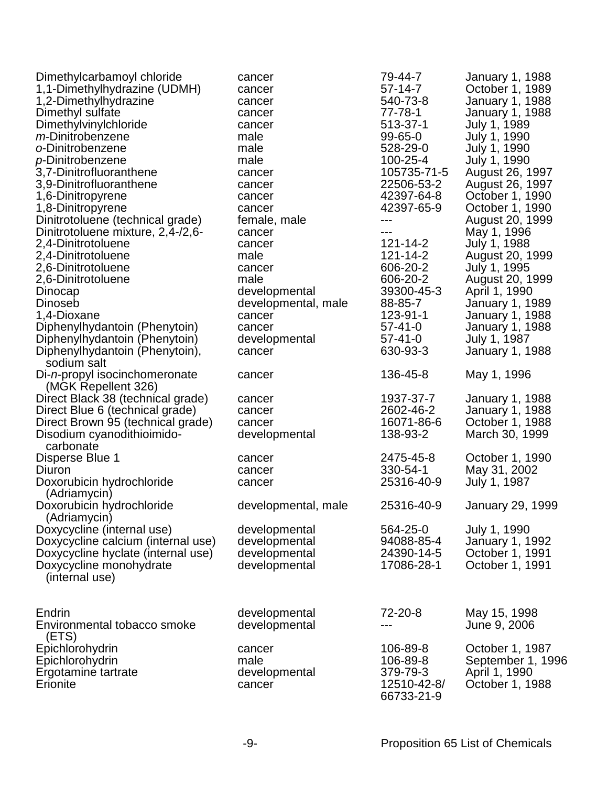| Dimethylcarbamoyl chloride<br>1,1-Dimethylhydrazine (UDMH)<br>1,2-Dimethylhydrazine<br>Dimethyl sulfate<br>Dimethylvinylchloride<br>m-Dinitrobenzene<br>o-Dinitrobenzene<br>p-Dinitrobenzene<br>3.7-Dinitrofluoranthene<br>3,9-Dinitrofluoranthene<br>1,6-Dinitropyrene<br>1,8-Dinitropyrene<br>Dinitrotoluene (technical grade)<br>Dinitrotoluene mixture, 2,4-/2,6-<br>2,4-Dinitrotoluene<br>2,4-Dinitrotoluene | cancer<br>cancer<br>cancer<br>cancer<br>cancer<br>male<br>male<br>male<br>cancer<br>cancer<br>cancer<br>cancer<br>female, male<br>cancer<br>cancer<br>male | 79-44-7<br>57-14-7<br>540-73-8<br>$77 - 78 - 1$<br>513-37-1<br>$99 - 65 - 0$<br>528-29-0<br>100-25-4<br>105735-71-5<br>22506-53-2<br>42397-64-8<br>42397-65-9<br>---<br>---<br>$121 - 14 - 2$<br>121-14-2 | <b>January 1, 1988</b><br>October 1, 1989<br>January 1, 1988<br>January 1, 1988<br>July 1, 1989<br>July 1, 1990<br>July 1, 1990<br>July 1, 1990<br>August 26, 1997<br>August 26, 1997<br>October 1, 1990<br>October 1, 1990<br>August 20, 1999<br>May 1, 1996<br>July 1, 1988<br>August 20, 1999 |
|-------------------------------------------------------------------------------------------------------------------------------------------------------------------------------------------------------------------------------------------------------------------------------------------------------------------------------------------------------------------------------------------------------------------|------------------------------------------------------------------------------------------------------------------------------------------------------------|-----------------------------------------------------------------------------------------------------------------------------------------------------------------------------------------------------------|--------------------------------------------------------------------------------------------------------------------------------------------------------------------------------------------------------------------------------------------------------------------------------------------------|
| 2,6-Dinitrotoluene                                                                                                                                                                                                                                                                                                                                                                                                | cancer                                                                                                                                                     | 606-20-2                                                                                                                                                                                                  | July 1, 1995                                                                                                                                                                                                                                                                                     |
| 2,6-Dinitrotoluene                                                                                                                                                                                                                                                                                                                                                                                                | male                                                                                                                                                       | 606-20-2                                                                                                                                                                                                  | August 20, 1999                                                                                                                                                                                                                                                                                  |
| Dinocap                                                                                                                                                                                                                                                                                                                                                                                                           | developmental                                                                                                                                              | 39300-45-3                                                                                                                                                                                                | April 1, 1990                                                                                                                                                                                                                                                                                    |
| <b>Dinoseb</b>                                                                                                                                                                                                                                                                                                                                                                                                    | developmental, male                                                                                                                                        | 88-85-7                                                                                                                                                                                                   | January 1, 1989                                                                                                                                                                                                                                                                                  |
| 1,4-Dioxane                                                                                                                                                                                                                                                                                                                                                                                                       | cancer                                                                                                                                                     | 123-91-1<br>57-41-0                                                                                                                                                                                       | January 1, 1988                                                                                                                                                                                                                                                                                  |
| Diphenylhydantoin (Phenytoin)<br>Diphenylhydantoin (Phenytoin)                                                                                                                                                                                                                                                                                                                                                    | cancer<br>developmental                                                                                                                                    | $57 - 41 - 0$                                                                                                                                                                                             | January 1, 1988<br>July 1, 1987                                                                                                                                                                                                                                                                  |
| Diphenylhydantoin (Phenytoin),                                                                                                                                                                                                                                                                                                                                                                                    | cancer                                                                                                                                                     | 630-93-3                                                                                                                                                                                                  | January 1, 1988                                                                                                                                                                                                                                                                                  |
| sodium salt                                                                                                                                                                                                                                                                                                                                                                                                       |                                                                                                                                                            |                                                                                                                                                                                                           |                                                                                                                                                                                                                                                                                                  |
| Di-n-propyl isocinchomeronate<br>(MGK Repellent 326)                                                                                                                                                                                                                                                                                                                                                              | cancer                                                                                                                                                     | 136-45-8                                                                                                                                                                                                  | May 1, 1996                                                                                                                                                                                                                                                                                      |
| Direct Black 38 (technical grade)                                                                                                                                                                                                                                                                                                                                                                                 | cancer                                                                                                                                                     | 1937-37-7                                                                                                                                                                                                 | <b>January 1, 1988</b>                                                                                                                                                                                                                                                                           |
| Direct Blue 6 (technical grade)                                                                                                                                                                                                                                                                                                                                                                                   | cancer                                                                                                                                                     | 2602-46-2                                                                                                                                                                                                 | January 1, 1988                                                                                                                                                                                                                                                                                  |
| Direct Brown 95 (technical grade)                                                                                                                                                                                                                                                                                                                                                                                 | cancer                                                                                                                                                     | 16071-86-6                                                                                                                                                                                                | October 1, 1988                                                                                                                                                                                                                                                                                  |
| Disodium cyanodithioimido-<br>carbonate                                                                                                                                                                                                                                                                                                                                                                           | developmental                                                                                                                                              | 138-93-2                                                                                                                                                                                                  | March 30, 1999                                                                                                                                                                                                                                                                                   |
| Disperse Blue 1                                                                                                                                                                                                                                                                                                                                                                                                   | cancer                                                                                                                                                     | 2475-45-8                                                                                                                                                                                                 | October 1, 1990                                                                                                                                                                                                                                                                                  |
| Diuron                                                                                                                                                                                                                                                                                                                                                                                                            | cancer                                                                                                                                                     | 330-54-1                                                                                                                                                                                                  | May 31, 2002                                                                                                                                                                                                                                                                                     |
| Doxorubicin hydrochloride                                                                                                                                                                                                                                                                                                                                                                                         | cancer                                                                                                                                                     | 25316-40-9                                                                                                                                                                                                | July 1, 1987                                                                                                                                                                                                                                                                                     |
| (Adriamycin)<br>Doxorubicin hydrochloride<br>(Adriamycin)                                                                                                                                                                                                                                                                                                                                                         | developmental, male                                                                                                                                        | 25316-40-9                                                                                                                                                                                                | <b>January 29, 1999</b>                                                                                                                                                                                                                                                                          |
| Doxycycline (internal use)                                                                                                                                                                                                                                                                                                                                                                                        | developmental                                                                                                                                              | 564-25-0                                                                                                                                                                                                  | July 1, 1990                                                                                                                                                                                                                                                                                     |
| Doxycycline calcium (internal use)                                                                                                                                                                                                                                                                                                                                                                                | developmental                                                                                                                                              | 94088-85-4                                                                                                                                                                                                | January 1, 1992                                                                                                                                                                                                                                                                                  |
| Doxycycline hyclate (internal use)                                                                                                                                                                                                                                                                                                                                                                                | developmental                                                                                                                                              | 24390-14-5                                                                                                                                                                                                | October 1, 1991                                                                                                                                                                                                                                                                                  |
| Doxycycline monohydrate<br>(internal use)                                                                                                                                                                                                                                                                                                                                                                         | developmental                                                                                                                                              | 17086-28-1                                                                                                                                                                                                | October 1, 1991                                                                                                                                                                                                                                                                                  |
|                                                                                                                                                                                                                                                                                                                                                                                                                   |                                                                                                                                                            |                                                                                                                                                                                                           |                                                                                                                                                                                                                                                                                                  |
| Endrin                                                                                                                                                                                                                                                                                                                                                                                                            | developmental                                                                                                                                              | 72-20-8                                                                                                                                                                                                   | May 15, 1998                                                                                                                                                                                                                                                                                     |
| Environmental tobacco smoke                                                                                                                                                                                                                                                                                                                                                                                       | developmental                                                                                                                                              |                                                                                                                                                                                                           | June 9, 2006                                                                                                                                                                                                                                                                                     |
| (ETS)<br>Epichlorohydrin                                                                                                                                                                                                                                                                                                                                                                                          | cancer                                                                                                                                                     | 106-89-8                                                                                                                                                                                                  | October 1, 1987                                                                                                                                                                                                                                                                                  |
| Epichlorohydrin                                                                                                                                                                                                                                                                                                                                                                                                   | male                                                                                                                                                       | 106-89-8                                                                                                                                                                                                  | September 1, 1996                                                                                                                                                                                                                                                                                |
| Ergotamine tartrate                                                                                                                                                                                                                                                                                                                                                                                               | developmental                                                                                                                                              | 379-79-3                                                                                                                                                                                                  | April 1, 1990                                                                                                                                                                                                                                                                                    |
| Erionite                                                                                                                                                                                                                                                                                                                                                                                                          | cancer                                                                                                                                                     | 12510-42-8/<br>66733-21-9                                                                                                                                                                                 | October 1, 1988                                                                                                                                                                                                                                                                                  |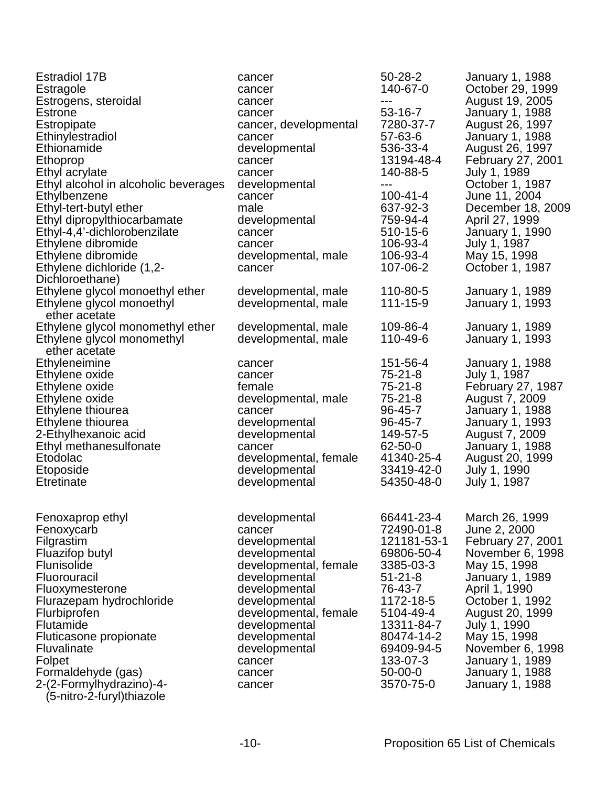| <b>Estradiol 17B</b>                 | cancer                | 50-28-2        | January 1, 1988        |
|--------------------------------------|-----------------------|----------------|------------------------|
| Estragole                            | cancer                | 140-67-0       | October 29, 1999       |
| Estrogens, steroidal                 | cancer                | ---            | August 19, 2005        |
| <b>Estrone</b>                       | cancer                | 53-16-7        | January 1, 1988        |
| Estropipate                          | cancer, developmental | 7280-37-7      | August 26, 1997        |
| Ethinylestradiol                     | cancer                | 57-63-6        | January 1, 1988        |
| Ethionamide                          | developmental         | 536-33-4       | August 26, 1997        |
| Ethoprop                             | cancer                | 13194-48-4     | February 27, 2001      |
| Ethyl acrylate                       | cancer                | 140-88-5       | July 1, 1989           |
| Ethyl alcohol in alcoholic beverages | developmental         | ---            | October 1, 1987        |
| Ethylbenzene                         | cancer                | $100 - 41 - 4$ | June 11, 2004          |
| Ethyl-tert-butyl ether               | male                  | 637-92-3       | December 18, 2009      |
| Ethyl dipropylthiocarbamate          | developmental         | 759-94-4       | April 27, 1999         |
| Ethyl-4,4'-dichlorobenzilate         | cancer                | 510-15-6       |                        |
|                                      |                       | 106-93-4       | January 1, 1990        |
| Ethylene dibromide                   | cancer                |                | July 1, 1987           |
| Ethylene dibromide                   | developmental, male   | 106-93-4       | May 15, 1998           |
| Ethylene dichloride (1,2-            | cancer                | 107-06-2       | October 1, 1987        |
| Dichloroethane)                      |                       |                |                        |
| Ethylene glycol monoethyl ether      | developmental, male   | 110-80-5       | January 1, 1989        |
| Ethylene glycol monoethyl            | developmental, male   | 111-15-9       | <b>January 1, 1993</b> |
| ether acetate                        |                       |                |                        |
| Ethylene glycol monomethyl ether     | developmental, male   | 109-86-4       | January 1, 1989        |
| Ethylene glycol monomethyl           | developmental, male   | 110-49-6       | <b>January 1, 1993</b> |
| ether acetate                        |                       |                |                        |
| Ethyleneimine                        | cancer                | 151-56-4       | <b>January 1, 1988</b> |
| Ethylene oxide                       | cancer                | 75-21-8        | July 1, 1987           |
| Ethylene oxide                       | female                | 75-21-8        | February 27, 1987      |
| Ethylene oxide                       | developmental, male   | 75-21-8        | August 7, 2009         |
| Ethylene thiourea                    | cancer                | 96-45-7        | January 1, 1988        |
| Ethylene thiourea                    | developmental         | 96-45-7        | January 1, 1993        |
| 2-Ethylhexanoic acid                 | developmental         | 149-57-5       | August 7, 2009         |
| Ethyl methanesulfonate               | cancer                | 62-50-0        | January 1, 1988        |
| Etodolac                             | developmental, female | 41340-25-4     | August 20, 1999        |
| Etoposide                            | developmental         | 33419-42-0     | July 1, 1990           |
| <b>Etretinate</b>                    | developmental         | 54350-48-0     | July 1, 1987           |
|                                      |                       |                |                        |
|                                      |                       |                |                        |
| Fenoxaprop ethyl                     | developmental         | 66441-23-4     | March 26, 1999         |
| Fenoxycarb                           | cancer                | 72490-01-8     | June 2, 2000           |
| Filgrastim                           | developmental         | 121181-53-1    | February 27, 2001      |
| Fluazifop butyl                      | developmental         | 69806-50-4     | November 6, 1998       |
| Flunisolide                          | developmental, female | 3385-03-3      | May 15, 1998           |
| Fluorouracil                         | developmental         | $51 - 21 - 8$  | January 1, 1989        |
| Fluoxymesterone                      | developmental         | 76-43-7        | April 1, 1990          |
| Flurazepam hydrochloride             | developmental         | 1172-18-5      | October 1, 1992        |
| Flurbiprofen                         | developmental, female | 5104-49-4      | August 20, 1999        |
| <b>Flutamide</b>                     | developmental         | 13311-84-7     |                        |
|                                      |                       |                | July 1, 1990           |
| Fluticasone propionate               | developmental         | 80474-14-2     | May 15, 1998           |
| Fluvalinate                          | developmental         | 69409-94-5     | November 6, 1998       |
| Folpet                               | cancer                | 133-07-3       | January 1, 1989        |
| Formaldehyde (gas)                   | cancer                | $50 - 00 - 0$  | January 1, 1988        |
| 2-(2-Formylhydrazino)-4-             | cancer                | 3570-75-0      | January 1, 1988        |
| (5-nitro-2-furyl)thiazole            |                       |                |                        |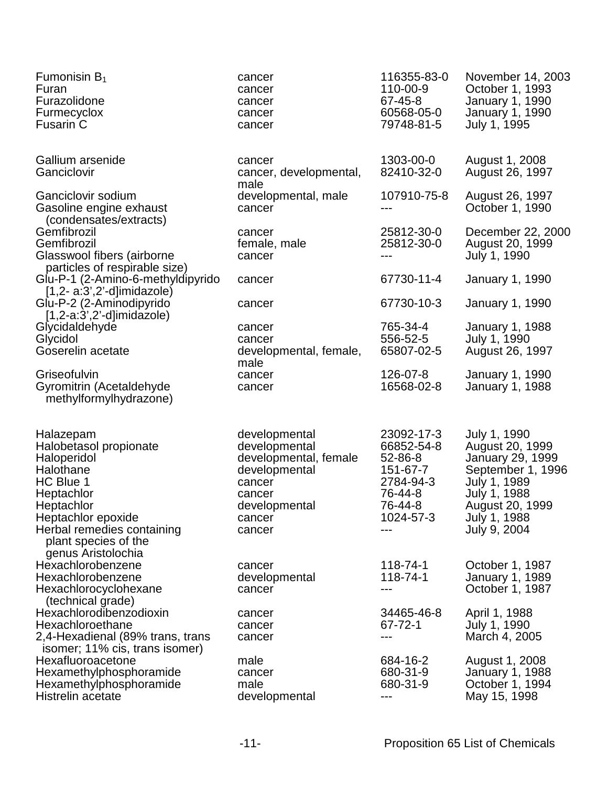| Fumonisin $B_1$<br>Furan<br>Furazolidone<br>Furmecyclox<br><b>Fusarin C</b>                                                                                                                                | cancer<br>cancer<br>cancer<br>cancer<br>cancer                                                                                    | 116355-83-0<br>110-00-9<br>67-45-8<br>60568-05-0<br>79748-81-5                                         | November 14, 2003<br>October 1, 1993<br>January 1, 1990<br><b>January 1, 1990</b><br>July 1, 1995                                                           |
|------------------------------------------------------------------------------------------------------------------------------------------------------------------------------------------------------------|-----------------------------------------------------------------------------------------------------------------------------------|--------------------------------------------------------------------------------------------------------|-------------------------------------------------------------------------------------------------------------------------------------------------------------|
| Gallium arsenide<br>Ganciclovir                                                                                                                                                                            | cancer<br>cancer, developmental,<br>male                                                                                          | 1303-00-0<br>82410-32-0                                                                                | August 1, 2008<br>August 26, 1997                                                                                                                           |
| Ganciclovir sodium<br>Gasoline engine exhaust<br>(condensates/extracts)                                                                                                                                    | developmental, male<br>cancer                                                                                                     | 107910-75-8                                                                                            | August 26, 1997<br>October 1, 1990                                                                                                                          |
| Gemfibrozil<br>Gemfibrozil<br>Glasswool fibers (airborne<br>particles of respirable size)                                                                                                                  | cancer<br>female, male<br>cancer                                                                                                  | 25812-30-0<br>25812-30-0<br>---                                                                        | December 22, 2000<br>August 20, 1999<br>July 1, 1990                                                                                                        |
| Glu-P-1 (2-Amino-6-methyldipyrido<br>$[1,2- a:3',2'-d]$ imidazole)                                                                                                                                         | cancer                                                                                                                            | 67730-11-4                                                                                             | <b>January 1, 1990</b>                                                                                                                                      |
| Glu-P-2 (2-Aminodipyrido<br>$[1,2-a:3',2'-d]$ imidazole)                                                                                                                                                   | cancer                                                                                                                            | 67730-10-3                                                                                             | <b>January 1, 1990</b>                                                                                                                                      |
| Glycidaldehyde<br>Glycidol<br>Goserelin acetate                                                                                                                                                            | cancer<br>cancer<br>developmental, female,<br>male                                                                                | 765-34-4<br>556-52-5<br>65807-02-5                                                                     | <b>January 1, 1988</b><br>July 1, 1990<br>August 26, 1997                                                                                                   |
| Griseofulvin<br>Gyromitrin (Acetaldehyde<br>methylformylhydrazone)                                                                                                                                         | cancer<br>cancer                                                                                                                  | 126-07-8<br>16568-02-8                                                                                 | <b>January 1, 1990</b><br><b>January 1, 1988</b>                                                                                                            |
| Halazepam<br>Halobetasol propionate<br>Haloperidol<br>Halothane<br>HC Blue 1<br>Heptachlor<br>Heptachlor<br>Heptachlor epoxide<br>Herbal remedies containing<br>plant species of the<br>genus Aristolochia | developmental<br>developmental<br>developmental, female<br>developmental<br>cancer<br>cancer<br>developmental<br>cancer<br>cancer | 23092-17-3<br>66852-54-8<br>52-86-8<br>151-67-7<br>2784-94-3<br>76-44-8<br>76-44-8<br>1024-57-3<br>--- | July 1, 1990<br>August 20, 1999<br>January 29, 1999<br>September 1, 1996<br>July 1, 1989<br>July 1, 1988<br>August 20, 1999<br>July 1, 1988<br>July 9, 2004 |
| Hexachlorobenzene<br>Hexachlorobenzene<br>Hexachlorocyclohexane<br>(technical grade)                                                                                                                       | cancer<br>developmental<br>cancer                                                                                                 | 118-74-1<br>118-74-1<br>---                                                                            | October 1, 1987<br>January 1, 1989<br>October 1, 1987                                                                                                       |
| Hexachlorodibenzodioxin<br>Hexachloroethane<br>2,4-Hexadienal (89% trans, trans<br>isomer; 11% cis, trans isomer)                                                                                          | cancer<br>cancer<br>cancer                                                                                                        | 34465-46-8<br>67-72-1<br>---                                                                           | April 1, 1988<br>July 1, 1990<br>March 4, 2005                                                                                                              |
| Hexafluoroacetone<br>Hexamethylphosphoramide<br>Hexamethylphosphoramide<br>Histrelin acetate                                                                                                               | male<br>cancer<br>male<br>developmental                                                                                           | 684-16-2<br>680-31-9<br>680-31-9<br>---                                                                | August 1, 2008<br>January 1, 1988<br>October 1, 1994<br>May 15, 1998                                                                                        |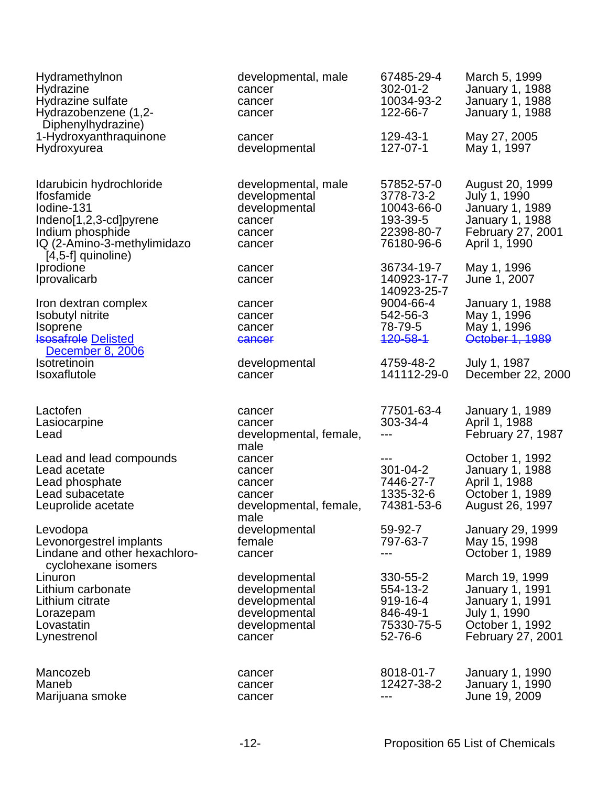| Hydramethylnon<br>Hydrazine<br>Hydrazine sulfate<br>Hydrazobenzene (1,2-<br>Diphenylhydrazine)                                                                   | developmental, male<br>cancer<br>cancer<br>cancer                                           | 67485-29-4<br>$302 - 01 - 2$<br>10034-93-2<br>122-66-7                        | March 5, 1999<br><b>January 1, 1988</b><br>January 1, 1988<br><b>January 1, 1988</b>                                       |
|------------------------------------------------------------------------------------------------------------------------------------------------------------------|---------------------------------------------------------------------------------------------|-------------------------------------------------------------------------------|----------------------------------------------------------------------------------------------------------------------------|
| 1-Hydroxyanthraquinone<br>Hydroxyurea                                                                                                                            | cancer<br>developmental                                                                     | 129-43-1<br>127-07-1                                                          | May 27, 2005<br>May 1, 1997                                                                                                |
| Idarubicin hydrochloride<br><b>Ifosfamide</b><br>lodine-131<br>Indeno[1,2,3-cd]pyrene<br>Indium phosphide<br>IQ (2-Amino-3-methylimidazo<br>$[4,5-f]$ quinoline) | developmental, male<br>developmental<br>developmental<br>cancer<br>cancer<br>cancer         | 57852-57-0<br>3778-73-2<br>10043-66-0<br>193-39-5<br>22398-80-7<br>76180-96-6 | August 20, 1999<br>July 1, 1990<br><b>January 1, 1989</b><br>January 1, 1988<br>February 27, 2001<br>April 1, 1990         |
| Iprodione<br>Iprovalicarb                                                                                                                                        | cancer<br>cancer                                                                            | 36734-19-7<br>140923-17-7<br>140923-25-7                                      | May 1, 1996<br>June 1, 2007                                                                                                |
| Iron dextran complex<br><b>Isobutyl nitrite</b><br><b>Isoprene</b><br><b>Isosafrole Delisted</b><br>December 8, 2006                                             | cancer<br>cancer<br>cancer<br>cancer                                                        | 9004-66-4<br>542-56-3<br>78-79-5<br>120-58-1                                  | <b>January 1, 1988</b><br>May 1, 1996<br>May 1, 1996<br>October 1, 1989                                                    |
| <b>Isotretinoin</b><br>Isoxaflutole                                                                                                                              | developmental<br>cancer                                                                     | 4759-48-2<br>141112-29-0                                                      | July 1, 1987<br>December 22, 2000                                                                                          |
| Lactofen<br>Lasiocarpine<br>Lead                                                                                                                                 | cancer<br>cancer<br>developmental, female,<br>male                                          | 77501-63-4<br>303-34-4<br>---                                                 | <b>January 1, 1989</b><br>April 1, 1988<br>February 27, 1987                                                               |
| Lead and lead compounds<br>Lead acetate<br>Lead phosphate<br>Lead subacetate<br>Leuprolide acetate                                                               | cancer<br>cancer<br>cancer<br>cancer<br>developmental, female,                              | ---<br>301-04-2<br>7446-27-7<br>1335-32-6<br>74381-53-6                       | October 1, 1992<br>January 1, 1988<br>April 1, 1988<br>October 1, 1989<br>August 26, 1997                                  |
| Levodopa<br>Levonorgestrel implants<br>Lindane and other hexachloro-                                                                                             | male<br>developmental<br>female<br>cancer                                                   | 59-92-7<br>797-63-7<br>---                                                    | <b>January 29, 1999</b><br>May 15, 1998<br>October 1, 1989                                                                 |
| cyclohexane isomers<br>Linuron<br>Lithium carbonate<br>Lithium citrate<br>Lorazepam<br>Lovastatin<br>Lynestrenol                                                 | developmental<br>developmental<br>developmental<br>developmental<br>developmental<br>cancer | 330-55-2<br>554-13-2<br>919-16-4<br>846-49-1<br>75330-75-5<br>52-76-6         | March 19, 1999<br><b>January 1, 1991</b><br><b>January 1, 1991</b><br>July 1, 1990<br>October 1, 1992<br>February 27, 2001 |
| Mancozeb<br>Maneb<br>Marijuana smoke                                                                                                                             | cancer<br>cancer<br>cancer                                                                  | 8018-01-7<br>12427-38-2<br>---                                                | January 1, 1990<br>January 1, 1990<br>June 19, 2009                                                                        |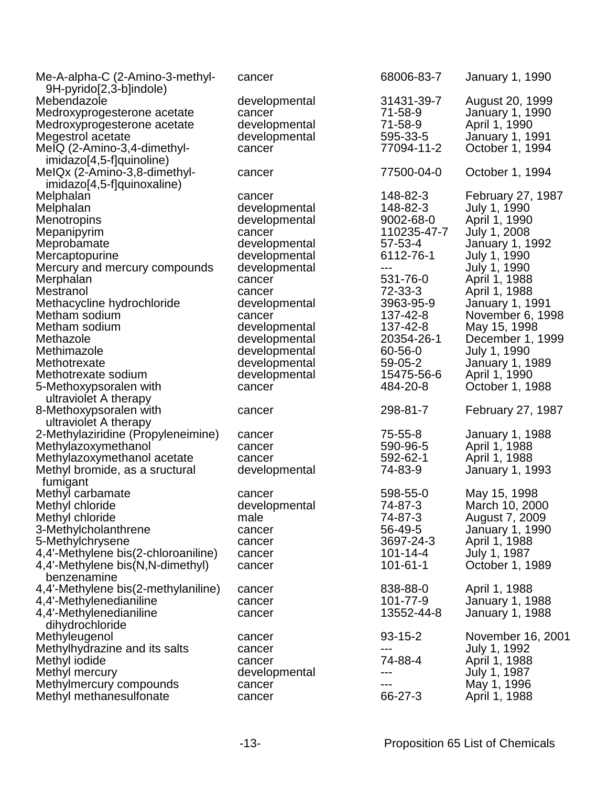| Me-A-alpha-C (2-Amino-3-methyl-<br>9H-pyrido[2,3-b]indole) | cancer        | 68006-83-7     | January 1, 1990                          |
|------------------------------------------------------------|---------------|----------------|------------------------------------------|
| Mebendazole                                                | developmental | 31431-39-7     | August 20, 1999                          |
| Medroxyprogesterone acetate                                | cancer        | 71-58-9        | January 1, 1990                          |
| Medroxyprogesterone acetate                                | developmental | 71-58-9        | April 1, 1990                            |
| Megestrol acetate                                          | developmental | 595-33-5       | <b>January 1, 1991</b>                   |
| MeIQ (2-Amino-3,4-dimethyl-                                | cancer        | 77094-11-2     | October 1, 1994                          |
| imidazo[4,5-f]quinoline)                                   |               |                |                                          |
| MeIQx (2-Amino-3,8-dimethyl-                               | cancer        | 77500-04-0     | October 1, 1994                          |
| imidazo[4,5-f]quinoxaline)                                 |               |                |                                          |
| Melphalan                                                  | cancer        | 148-82-3       | <b>February 27, 1987</b><br>July 1, 1990 |
| Melphalan                                                  | developmental | 148-82-3       |                                          |
| <b>Menotropins</b>                                         | developmental | 9002-68-0      | April 1, 1990                            |
| Mepanipyrim                                                | cancer        | 110235-47-7    | July 1, 2008                             |
| Meprobamate                                                | developmental | 57-53-4        | January 1, 1992                          |
| Mercaptopurine                                             | developmental | 6112-76-1      | July 1, 1990                             |
| Mercury and mercury compounds                              | developmental | ---            | July 1, 1990                             |
| Merphalan                                                  | cancer        | 531-76-0       | April 1, 1988                            |
| Mestranol                                                  | cancer        | 72-33-3        | April 1, 1988                            |
| Methacycline hydrochloride                                 | developmental | 3963-95-9      | January 1, 1991                          |
| Metham sodium                                              | cancer        | 137-42-8       | November 6, 1998                         |
| Metham sodium                                              | developmental | 137-42-8       | May 15, 1998                             |
| Methazole                                                  | developmental | 20354-26-1     | December 1, 1999                         |
| Methimazole                                                | developmental | 60-56-0        | July 1, 1990                             |
| Methotrexate                                               | developmental | 59-05-2        | <b>January 1, 1989</b>                   |
| Methotrexate sodium                                        | developmental | 15475-56-6     | April 1, 1990                            |
| 5-Methoxypsoralen with                                     | cancer        | 484-20-8       | October 1, 1988                          |
| ultraviolet A therapy                                      |               |                |                                          |
| 8-Methoxypsoralen with                                     | cancer        | 298-81-7       | February 27, 1987                        |
| ultraviolet A therapy                                      |               |                |                                          |
| 2-Methylaziridine (Propyleneimine)                         | cancer        | 75-55-8        | January 1, 1988                          |
| Methylazoxymethanol                                        | cancer        | 590-96-5       | April 1, 1988                            |
| Methylazoxymethanol acetate                                | cancer        | 592-62-1       | April 1, 1988                            |
| Methyl bromide, as a sructural                             | developmental | 74-83-9        | January 1, 1993                          |
| fumigant                                                   |               |                |                                          |
| Methyl carbamate                                           | cancer        | 598-55-0       | May 15, 1998                             |
| Methyl chloride                                            | developmental | 74-87-3        | March 10, 2000                           |
| Methyl chloride                                            | male          | 74-87-3        | August 7, 2009                           |
| 3-Methylcholanthrene                                       | cancer        | 56-49-5        | January 1, 1990                          |
| 5-Methylchrysene                                           | cancer        | 3697-24-3      | April 1, 1988                            |
| 4,4'-Methylene bis(2-chloroaniline)                        | cancer        | $101 - 14 - 4$ | July 1, 1987                             |
| 4,4'-Methylene bis(N,N-dimethyl)                           | cancer        | $101 - 61 - 1$ | October 1, 1989                          |
| benzenamine                                                |               |                |                                          |
| 4,4'-Methylene bis(2-methylaniline)                        | cancer        | 838-88-0       | April 1, 1988                            |
| 4,4'-Methylenedianiline                                    |               | 101-77-9       |                                          |
| 4,4'-Methylenedianiline                                    | cancer        | 13552-44-8     | January 1, 1988                          |
|                                                            | cancer        |                | January 1, 1988                          |
| dihydrochloride                                            |               |                |                                          |
| Methyleugenol                                              | cancer        | $93 - 15 - 2$  | November 16, 2001                        |
| Methylhydrazine and its salts                              | cancer        | ---            | July 1, 1992                             |
| Methyl iodide                                              | cancer        | 74-88-4        | April 1, 1988                            |
| Methyl mercury                                             | developmental | ---            | July 1, 1987                             |
| Methylmercury compounds                                    | cancer        |                | May 1, 1996                              |
| Methyl methanesulfonate                                    | cancer        | 66-27-3        | April 1, 1988                            |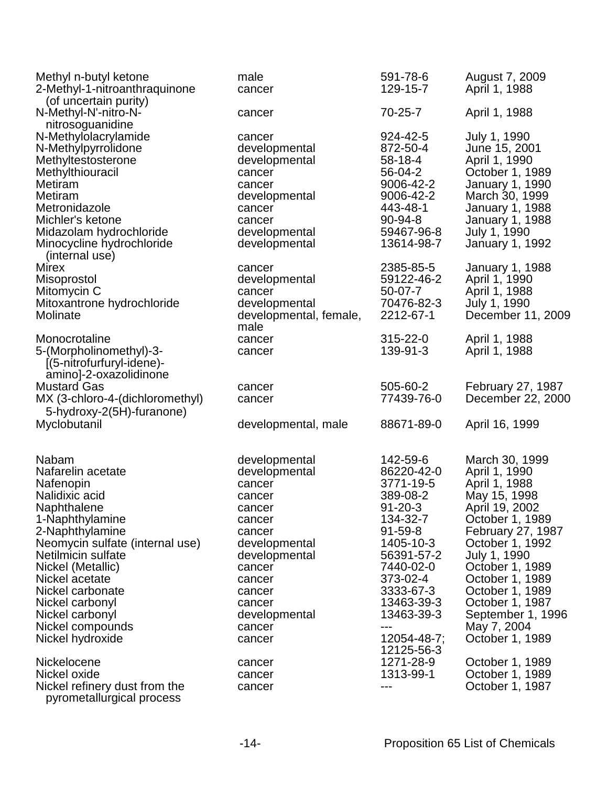| Methyl n-butyl ketone<br>2-Methyl-1-nitroanthraquinone<br>(of uncertain purity)                                                                                                                                                                                                                                         | male<br>cancer                                                                                                                                                                                  | 591-78-6<br>129-15-7                                                                                                                                                                                                           | August 7, 2009<br>April 1, 1988                                                                                                                                                                                                                                                                         |
|-------------------------------------------------------------------------------------------------------------------------------------------------------------------------------------------------------------------------------------------------------------------------------------------------------------------------|-------------------------------------------------------------------------------------------------------------------------------------------------------------------------------------------------|--------------------------------------------------------------------------------------------------------------------------------------------------------------------------------------------------------------------------------|---------------------------------------------------------------------------------------------------------------------------------------------------------------------------------------------------------------------------------------------------------------------------------------------------------|
| N-Methyl-N'-nitro-N-<br>nitrosoguanidine                                                                                                                                                                                                                                                                                | cancer                                                                                                                                                                                          | 70-25-7                                                                                                                                                                                                                        | April 1, 1988                                                                                                                                                                                                                                                                                           |
| N-Methylolacrylamide<br>N-Methylpyrrolidone<br>Methyltestosterone<br>Methylthiouracil<br>Metiram<br>Metiram<br>Metronidazole<br>Michler's ketone<br>Midazolam hydrochloride<br>Minocycline hydrochloride<br>(internal use)                                                                                              | cancer<br>developmental<br>developmental<br>cancer<br>cancer<br>developmental<br>cancer<br>cancer<br>developmental<br>developmental                                                             | 924-42-5<br>872-50-4<br>58-18-4<br>56-04-2<br>9006-42-2<br>9006-42-2<br>443-48-1<br>90-94-8<br>59467-96-8<br>13614-98-7                                                                                                        | July 1, 1990<br>June 15, 2001<br>April 1, 1990<br>October 1, 1989<br><b>January 1, 1990</b><br>March 30, 1999<br>January 1, 1988<br>January 1, 1988<br>July 1, 1990<br>January 1, 1992                                                                                                                  |
| <b>Mirex</b><br>Misoprostol<br>Mitomycin C<br>Mitoxantrone hydrochloride<br>Molinate                                                                                                                                                                                                                                    | cancer<br>developmental<br>cancer<br>developmental<br>developmental, female,<br>male                                                                                                            | 2385-85-5<br>59122-46-2<br>$50-07-7$<br>70476-82-3<br>2212-67-1                                                                                                                                                                | <b>January 1, 1988</b><br>April 1, 1990<br>April 1, 1988<br>July 1, 1990<br>December 11, 2009                                                                                                                                                                                                           |
| Monocrotaline<br>5-(Morpholinomethyl)-3-<br>[(5-nitrofurfuryl-idene)-<br>amino]-2-oxazolidinone                                                                                                                                                                                                                         | cancer<br>cancer                                                                                                                                                                                | 315-22-0<br>139-91-3                                                                                                                                                                                                           | April 1, 1988<br>April 1, 1988                                                                                                                                                                                                                                                                          |
| <b>Mustard Gas</b><br>MX (3-chloro-4-(dichloromethyl)                                                                                                                                                                                                                                                                   | cancer<br>cancer                                                                                                                                                                                | 505-60-2<br>77439-76-0                                                                                                                                                                                                         | February 27, 1987<br>December 22, 2000                                                                                                                                                                                                                                                                  |
| 5-hydroxy-2(5H)-furanone)<br>Myclobutanil                                                                                                                                                                                                                                                                               | developmental, male                                                                                                                                                                             | 88671-89-0                                                                                                                                                                                                                     | April 16, 1999                                                                                                                                                                                                                                                                                          |
| <b>Nabam</b><br>Nafarelin acetate<br>Nafenopin<br>Nalidixic acid<br>Naphthalene<br>1-Naphthylamine<br>2-Naphthylamine<br>Neomycin sulfate (internal use)<br>Netilmicin sulfate<br>Nickel (Metallic)<br>Nickel acetate<br>Nickel carbonate<br>Nickel carbonyl<br>Nickel carbonyl<br>Nickel compounds<br>Nickel hydroxide | developmental<br>developmental<br>cancer<br>cancer<br>cancer<br>cancer<br>cancer<br>developmental<br>developmental<br>cancer<br>cancer<br>cancer<br>cancer<br>developmental<br>cancer<br>cancer | 142-59-6<br>86220-42-0<br>3771-19-5<br>389-08-2<br>$91 - 20 - 3$<br>134-32-7<br>$91 - 59 - 8$<br>1405-10-3<br>56391-57-2<br>7440-02-0<br>373-02-4<br>3333-67-3<br>13463-39-3<br>13463-39-3<br>---<br>12054-48-7;<br>12125-56-3 | March 30, 1999<br>April 1, 1990<br>April 1, 1988<br>May 15, 1998<br>April 19, 2002<br>October 1, 1989<br><b>February 27, 1987</b><br>October 1, 1992<br>July 1, 1990<br>October 1, 1989<br>October 1, 1989<br>October 1, 1989<br>October 1, 1987<br>September 1, 1996<br>May 7, 2004<br>October 1, 1989 |
| Nickelocene<br>Nickel oxide<br>Nickel refinery dust from the<br>pyrometallurgical process                                                                                                                                                                                                                               | cancer<br>cancer<br>cancer                                                                                                                                                                      | 1271-28-9<br>1313-99-1<br>$---$                                                                                                                                                                                                | October 1, 1989<br>October 1, 1989<br>October 1, 1987                                                                                                                                                                                                                                                   |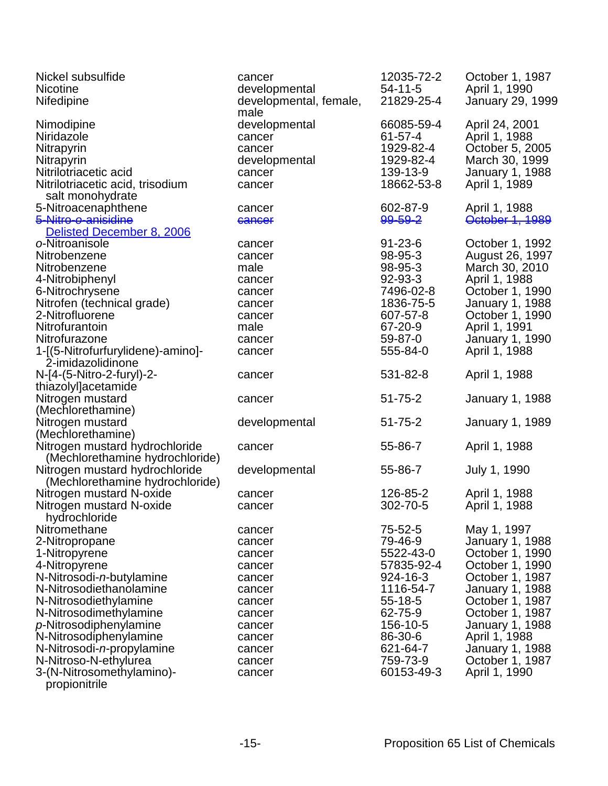| Nickel subsulfide                  | cancer                         | 12035-72-2    | October 1, 1987                         |
|------------------------------------|--------------------------------|---------------|-----------------------------------------|
| <b>Nicotine</b>                    | developmental                  | $54 - 11 - 5$ | April 1, 1990                           |
| Nifedipine                         | developmental, female,<br>male | 21829-25-4    | <b>January 29, 1999</b>                 |
| Nimodipine                         | developmental                  | 66085-59-4    | April 24, 2001                          |
| Niridazole                         | cancer                         | $61 - 57 - 4$ | April 1, 1988                           |
| Nitrapyrin                         | cancer                         | 1929-82-4     | October 5, 2005                         |
| Nitrapyrin                         | developmental                  | 1929-82-4     | March 30, 1999                          |
| Nitrilotriacetic acid              | cancer                         | 139-13-9      | <b>January 1, 1988</b>                  |
| Nitrilotriacetic acid, trisodium   | cancer                         | 18662-53-8    | April 1, 1989                           |
| salt monohydrate                   |                                |               |                                         |
| 5-Nitroacenaphthene                | cancer                         | 602-87-9      | April 1, 1988                           |
| 5-Nitro-o-anisidine                | cancer                         | 99-59-2       | October 1, 1989                         |
| Delisted December 8, 2006          |                                |               |                                         |
| o-Nitroanisole                     | cancer                         | $91 - 23 - 6$ | October 1, 1992                         |
| Nitrobenzene                       | cancer                         | 98-95-3       | August 26, 1997                         |
| Nitrobenzene                       | male                           | 98-95-3       | March 30, 2010                          |
| 4-Nitrobiphenyl                    | cancer                         | 92-93-3       | April 1, 1988                           |
| 6-Nitrochrysene                    | cancer                         | 7496-02-8     | October 1, 1990                         |
| Nitrofen (technical grade)         |                                | 1836-75-5     | <b>January 1, 1988</b>                  |
| 2-Nitrofluorene                    | cancer<br>cancer               | 607-57-8      | October 1, 1990                         |
| Nitrofurantoin                     | male                           | 67-20-9       |                                         |
| Nitrofurazone                      |                                | 59-87-0       | April 1, 1991                           |
| 1-[(5-Nitrofurfurylidene)-amino]-  | cancer                         | 555-84-0      | <b>January 1, 1990</b><br>April 1, 1988 |
|                                    | cancer                         |               |                                         |
| 2-imidazolidinone                  |                                |               |                                         |
| N-[4-(5-Nitro-2-furyl)-2-          | cancer                         | 531-82-8      | April 1, 1988                           |
| thiazolyl]acetamide                |                                |               |                                         |
| Nitrogen mustard                   | cancer                         | $51 - 75 - 2$ | <b>January 1, 1988</b>                  |
| (Mechlorethamine)                  |                                |               |                                         |
| Nitrogen mustard                   | developmental                  | $51 - 75 - 2$ | <b>January 1, 1989</b>                  |
| (Mechlorethamine)                  |                                |               |                                         |
| Nitrogen mustard hydrochloride     | cancer                         | 55-86-7       | April 1, 1988                           |
| (Mechlorethamine hydrochloride)    |                                |               |                                         |
| Nitrogen mustard hydrochloride     | developmental                  | 55-86-7       | July 1, 1990                            |
| (Mechlorethamine hydrochloride)    |                                |               |                                         |
| Nitrogen mustard N-oxide           | cancer                         | 126-85-2      | April 1, 1988                           |
| Nitrogen mustard N-oxide           | cancer                         | 302-70-5      | April 1, 1988                           |
| hydrochloride                      |                                |               |                                         |
| Nitromethane                       | cancer                         | 75-52-5       | May 1, 1997                             |
| 2-Nitropropane                     | cancer                         | 79-46-9       | <b>January 1, 1988</b>                  |
| 1-Nitropyrene                      | cancer                         | 5522-43-0     | October 1, 1990                         |
| 4-Nitropyrene                      | cancer                         | 57835-92-4    | October 1, 1990                         |
| N-Nitrosodi-n-butylamine           | cancer                         | 924-16-3      | October 1, 1987                         |
| N-Nitrosodiethanolamine            | cancer                         | 1116-54-7     | January 1, 1988                         |
| N-Nitrosodiethylamine              | cancer                         | $55 - 18 - 5$ | October 1, 1987                         |
| N-Nitrosodimethylamine             | cancer                         | 62-75-9       | October 1, 1987                         |
| $p$ -Nitrosodiphenylamine          | cancer                         | 156-10-5      | January 1, 1988                         |
| N-Nitrosodiphenylamine             | cancer                         | 86-30-6       | April 1, 1988                           |
| N-Nitrosodi- <i>n</i> -propylamine | cancer                         | 621-64-7      | January 1, 1988                         |
| N-Nitroso-N-ethylurea              | cancer                         | 759-73-9      | October 1, 1987                         |
| 3-(N-Nitrosomethylamino)-          | cancer                         | 60153-49-3    | April 1, 1990                           |
| propionitrile                      |                                |               |                                         |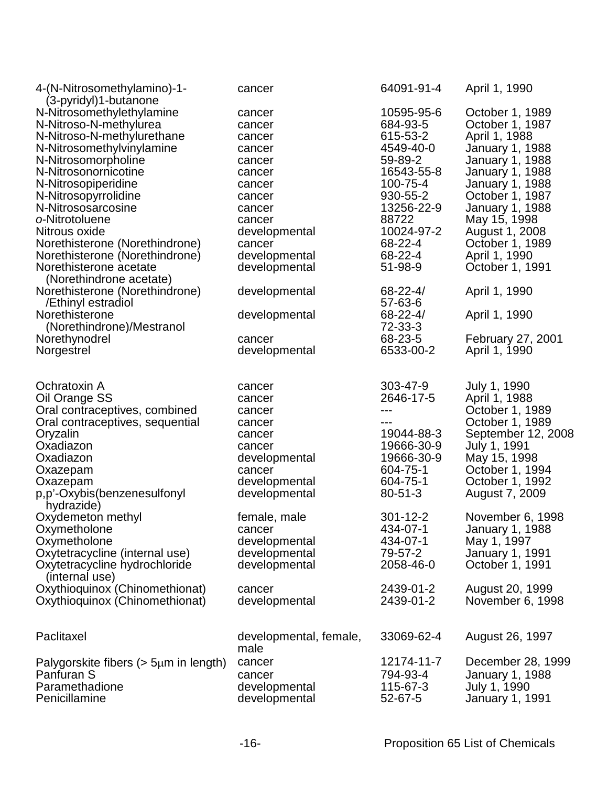| 4-(N-Nitrosomethylamino)-1-<br>(3-pyridyl)1-butanone | cancer                 | 64091-91-4     | April 1, 1990          |
|------------------------------------------------------|------------------------|----------------|------------------------|
| N-Nitrosomethylethylamine                            | cancer                 | 10595-95-6     | October 1, 1989        |
| N-Nitroso-N-methylurea                               | cancer                 | 684-93-5       | October 1, 1987        |
| N-Nitroso-N-methylurethane                           | cancer                 | 615-53-2       | April 1, 1988          |
| N-Nitrosomethylvinylamine                            | cancer                 | 4549-40-0      | <b>January 1, 1988</b> |
| N-Nitrosomorpholine                                  | cancer                 | 59-89-2        | <b>January 1, 1988</b> |
| N-Nitrosonornicotine                                 | cancer                 | 16543-55-8     | <b>January 1, 1988</b> |
| N-Nitrosopiperidine                                  | cancer                 | 100-75-4       | <b>January 1, 1988</b> |
| N-Nitrosopyrrolidine                                 | cancer                 | 930-55-2       | October 1, 1987        |
| N-Nitrososarcosine                                   | cancer                 | 13256-22-9     | <b>January 1, 1988</b> |
| o-Nitrotoluene                                       | cancer                 | 88722          | May 15, 1998           |
| Nitrous oxide                                        | developmental          | 10024-97-2     | August 1, 2008         |
| Norethisterone (Norethindrone)                       | cancer                 | 68-22-4        | October 1, 1989        |
| Norethisterone (Norethindrone)                       | developmental          | 68-22-4        | April 1, 1990          |
| Norethisterone acetate                               | developmental          | 51-98-9        | October 1, 1991        |
| (Norethindrone acetate)                              |                        |                |                        |
| Norethisterone (Norethindrone)                       | developmental          | $68 - 22 - 4/$ | April 1, 1990          |
| /Ethinyl estradiol                                   |                        | 57-63-6        |                        |
| Norethisterone                                       | developmental          | $68 - 22 - 4/$ | April 1, 1990          |
| (Norethindrone)/Mestranol                            |                        | 72-33-3        |                        |
| Norethynodrel                                        | cancer                 | 68-23-5        | February 27, 2001      |
| Norgestrel                                           | developmental          | 6533-00-2      | April 1, 1990          |
|                                                      |                        |                |                        |
| Ochratoxin A                                         | cancer                 | 303-47-9       | July 1, 1990           |
| Oil Orange SS                                        | cancer                 | 2646-17-5      | April 1, 1988          |
| Oral contraceptives, combined                        | cancer                 | ---            | October 1, 1989        |
| Oral contraceptives, sequential                      | cancer                 | ---            | October 1, 1989        |
| Oryzalin                                             | cancer                 | 19044-88-3     | September 12, 2008     |
| Oxadiazon                                            | cancer                 | 19666-30-9     | July 1, 1991           |
| Oxadiazon                                            | developmental          | 19666-30-9     | May 15, 1998           |
| Oxazepam                                             | cancer                 | 604-75-1       | October 1, 1994        |
| Oxazepam                                             | developmental          | 604-75-1       | October 1, 1992        |
| p,p'-Oxybis(benzenesulfonyl<br>hydrazide)            | developmental          | $80 - 51 - 3$  | August 7, 2009         |
| Oxydemeton methyl                                    | female, male           | $301 - 12 - 2$ | November 6, 1998       |
| Oxymetholone                                         | cancer                 | 434-07-1       | January 1, 1988        |
| Oxymetholone                                         | developmental          | 434-07-1       | May 1, 1997            |
| Oxytetracycline (internal use)                       | developmental          | 79-57-2        | <b>January 1, 1991</b> |
| Oxytetracycline hydrochloride                        | developmental          | 2058-46-0      | October 1, 1991        |
| (internal use)                                       |                        |                |                        |
| Oxythioquinox (Chinomethionat)                       | cancer                 | 2439-01-2      | August 20, 1999        |
| Oxythioquinox (Chinomethionat)                       | developmental          | 2439-01-2      | November 6, 1998       |
|                                                      |                        |                |                        |
| Paclitaxel                                           | developmental, female, | 33069-62-4     | August 26, 1997        |
|                                                      | male                   |                |                        |
| Palygorskite fibers ( $> 5 \mu m$ in length)         | cancer                 | 12174-11-7     | December 28, 1999      |
| Panfuran S                                           | cancer                 | 794-93-4       | <b>January 1, 1988</b> |
| Paramethadione                                       | developmental          | 115-67-3       | July 1, 1990           |
| Penicillamine                                        | developmental          | 52-67-5        | <b>January 1, 1991</b> |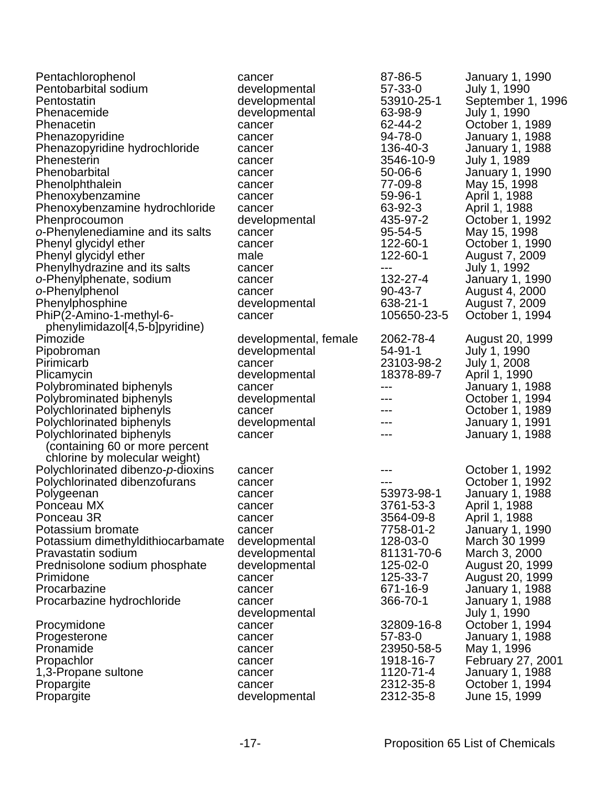| Pentachlorophenol                 | cancer                | 87-86-5       | <b>January 1, 1990</b> |
|-----------------------------------|-----------------------|---------------|------------------------|
| Pentobarbital sodium              | developmental         | 57-33-0       | July 1, 1990           |
| Pentostatin                       | developmental         | 53910-25-1    | September 1, 1996      |
| Phenacemide                       | developmental         | 63-98-9       | July 1, 1990           |
| Phenacetin                        | cancer                | 62-44-2       | October 1, 1989        |
| Phenazopyridine                   | cancer                | 94-78-0       | January 1, 1988        |
| Phenazopyridine hydrochloride     | cancer                | 136-40-3      | January 1, 1988        |
| Phenesterin                       | cancer                | 3546-10-9     | July 1, 1989           |
| Phenobarbital                     | cancer                | $50 - 06 - 6$ | January 1, 1990        |
| Phenolphthalein                   | cancer                | 77-09-8       | May 15, 1998           |
| Phenoxybenzamine                  | cancer                | 59-96-1       | April 1, 1988          |
| Phenoxybenzamine hydrochloride    | cancer                | 63-92-3       | April 1, 1988          |
| Phenprocoumon                     | developmental         | 435-97-2      | October 1, 1992        |
| o-Phenylenediamine and its salts  | cancer                | 95-54-5       | May 15, 1998           |
| Phenyl glycidyl ether             | cancer                | 122-60-1      | October 1, 1990        |
| Phenyl glycidyl ether             | male                  | 122-60-1      | August 7, 2009         |
| Phenylhydrazine and its salts     | cancer                | ---           | July 1, 1992           |
| o-Phenylphenate, sodium           | cancer                | 132-27-4      | January 1, 1990        |
| o-Phenylphenol                    | cancer                | $90 - 43 - 7$ | August 4, 2000         |
| Phenylphosphine                   | developmental         | 638-21-1      | August 7, 2009         |
| PhiP(2-Amino-1-methyl-6-          | cancer                | 105650-23-5   | October 1, 1994        |
| phenylimidazol[4,5-b]pyridine)    |                       |               |                        |
| Pimozide                          | developmental, female | 2062-78-4     | August 20, 1999        |
| Pipobroman                        | developmental         | $54 - 91 - 1$ | July 1, 1990           |
| Pirimicarb                        | cancer                | 23103-98-2    | July 1, 2008           |
| Plicamycin                        | developmental         | 18378-89-7    | April 1, 1990          |
| Polybrominated biphenyls          | cancer                | ---           | January 1, 1988        |
| Polybrominated biphenyls          | developmental         | ---           | October 1, 1994        |
| Polychlorinated biphenyls         | cancer                | ---           | October 1, 1989        |
| Polychlorinated biphenyls         | developmental         |               | January 1, 1991        |
| Polychlorinated biphenyls         | cancer                | ---           | January 1, 1988        |
| (containing 60 or more percent    |                       |               |                        |
|                                   |                       |               |                        |
| chlorine by molecular weight)     |                       |               |                        |
| Polychlorinated dibenzo-p-dioxins | cancer                | ---           | October 1, 1992        |
| Polychlorinated dibenzofurans     | cancer                | 53973-98-1    | October 1, 1992        |
| Polygeenan                        | cancer                |               | January 1, 1988        |
| Ponceau MX                        | cancer                | 3761-53-3     | April 1, 1988          |
| Ponceau 3R                        | cancer                | 3564-09-8     | April 1, 1988          |
| Potassium bromate                 | cancer                | 7758-01-2     | January 1, 1990        |
| Potassium dimethyldithiocarbamate | developmental         | 128-03-0      | March 30 1999          |
| Pravastatin sodium                | developmental         | 81131-70-6    | March 3, 2000          |
| Prednisolone sodium phosphate     | developmental         | 125-02-0      | August 20, 1999        |
| Primidone                         | cancer                | 125-33-7      | August 20, 1999        |
| Procarbazine                      | cancer                | 671-16-9      | January 1, 1988        |
| Procarbazine hydrochloride        | cancer                | 366-70-1      | January 1, 1988        |
|                                   | developmental         |               | July 1, 1990           |
| Procymidone                       | cancer                | 32809-16-8    | October 1, 1994        |
| Progesterone                      | cancer                | 57-83-0       | January 1, 1988        |
| Pronamide                         | cancer                | 23950-58-5    | May 1, 1996            |
| Propachlor                        | cancer                | 1918-16-7     | February 27, 2001      |
| 1,3-Propane sultone               | cancer                | 1120-71-4     | January 1, 1988        |
| Propargite                        | cancer                | 2312-35-8     | October 1, 1994        |
| Propargite                        | developmental         | 2312-35-8     | June 15, 1999          |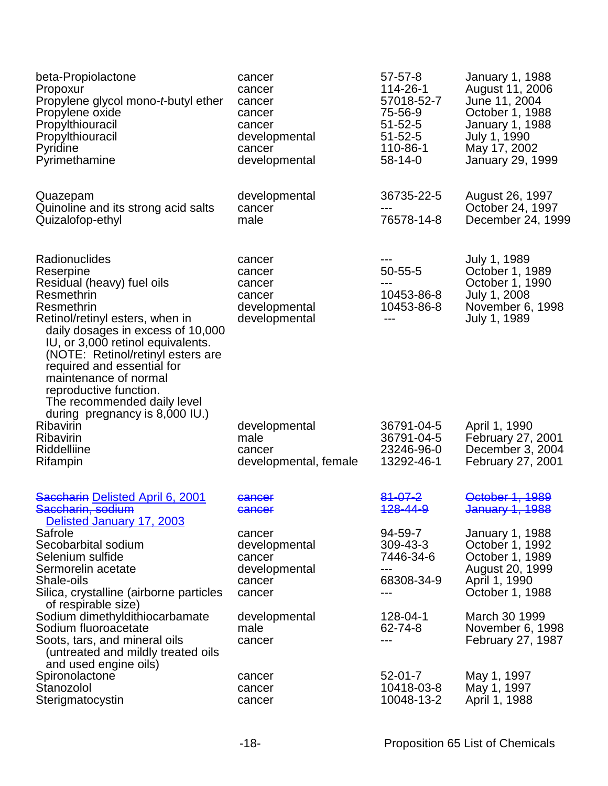| beta-Propiolactone<br>Propoxur<br>Propylene glycol mono-t-butyl ether<br>Propylene oxide<br>Propylthiouracil<br>Propylthiouracil<br>Pyridine<br>Pyrimethamine                                                                                                                                                                                                                            | cancer<br>cancer<br>cancer<br>cancer<br>cancer<br>developmental<br>cancer<br>developmental | $57 - 57 - 8$<br>114-26-1<br>57018-52-7<br>75-56-9<br>$51 - 52 - 5$<br>$51 - 52 - 5$<br>110-86-1<br>58-14-0 | <b>January 1, 1988</b><br>August 11, 2006<br>June 11, 2004<br>October 1, 1988<br><b>January 1, 1988</b><br>July 1, 1990<br>May 17, 2002<br><b>January 29, 1999</b> |
|------------------------------------------------------------------------------------------------------------------------------------------------------------------------------------------------------------------------------------------------------------------------------------------------------------------------------------------------------------------------------------------|--------------------------------------------------------------------------------------------|-------------------------------------------------------------------------------------------------------------|--------------------------------------------------------------------------------------------------------------------------------------------------------------------|
| Quazepam<br>Quinoline and its strong acid salts<br>Quizalofop-ethyl                                                                                                                                                                                                                                                                                                                      | developmental<br>cancer<br>male                                                            | 36735-22-5<br>76578-14-8                                                                                    | August 26, 1997<br>October 24, 1997<br>December 24, 1999                                                                                                           |
| Radionuclides<br>Reserpine<br>Residual (heavy) fuel oils<br>Resmethrin<br>Resmethrin<br>Retinol/retinyl esters, when in<br>daily dosages in excess of 10,000<br>IU, or 3,000 retinol equivalents.<br>(NOTE: Retinol/retinyl esters are<br>required and essential for<br>maintenance of normal<br>reproductive function.<br>The recommended daily level<br>during pregnancy is 8,000 IU.) | cancer<br>cancer<br>cancer<br>cancer<br>developmental<br>developmental                     | $50 - 55 - 5$<br>---<br>10453-86-8<br>10453-86-8                                                            | July 1, 1989<br>October 1, 1989<br>October 1, 1990<br>July 1, 2008<br>November 6, 1998<br>July 1, 1989                                                             |
| Ribavirin<br>Ribavirin<br>Riddelliine<br>Rifampin                                                                                                                                                                                                                                                                                                                                        | developmental<br>male<br>cancer<br>developmental, female                                   | 36791-04-5<br>36791-04-5<br>23246-96-0<br>13292-46-1                                                        | April 1, 1990<br>February 27, 2001<br>December 3, 2004<br><b>February 27, 2001</b>                                                                                 |
| Saccharin Delisted April 6, 2001<br>Saccharin, sodium<br>Delisted January 17, 2003                                                                                                                                                                                                                                                                                                       | <del>cancer</del><br>cancer                                                                | <del>81-07-2</del><br>128-44-9                                                                              | October 1, 1989<br>January 1, 1988                                                                                                                                 |
| Safrole<br>Secobarbital sodium<br>Selenium sulfide<br>Sermorelin acetate<br>Shale-oils<br>Silica, crystalline (airborne particles<br>of respirable size)                                                                                                                                                                                                                                 | cancer<br>developmental<br>cancer<br>developmental<br>cancer<br>cancer                     | 94-59-7<br>309-43-3<br>7446-34-6<br>---<br>68308-34-9<br>---                                                | January 1, 1988<br>October 1, 1992<br>October 1, 1989<br>August 20, 1999<br>April 1, 1990<br>October 1, 1988                                                       |
| Sodium dimethyldithiocarbamate<br>Sodium fluoroacetate<br>Soots, tars, and mineral oils<br>(untreated and mildly treated oils<br>and used engine oils)                                                                                                                                                                                                                                   | developmental<br>male<br>cancer                                                            | 128-04-1<br>62-74-8<br>---                                                                                  | March 30 1999<br>November 6, 1998<br>February 27, 1987                                                                                                             |
| Spironolactone<br>Stanozolol<br>Sterigmatocystin                                                                                                                                                                                                                                                                                                                                         | cancer<br>cancer<br>cancer                                                                 | $52 - 01 - 7$<br>10418-03-8<br>10048-13-2                                                                   | May 1, 1997<br>May 1, 1997<br>April 1, 1988                                                                                                                        |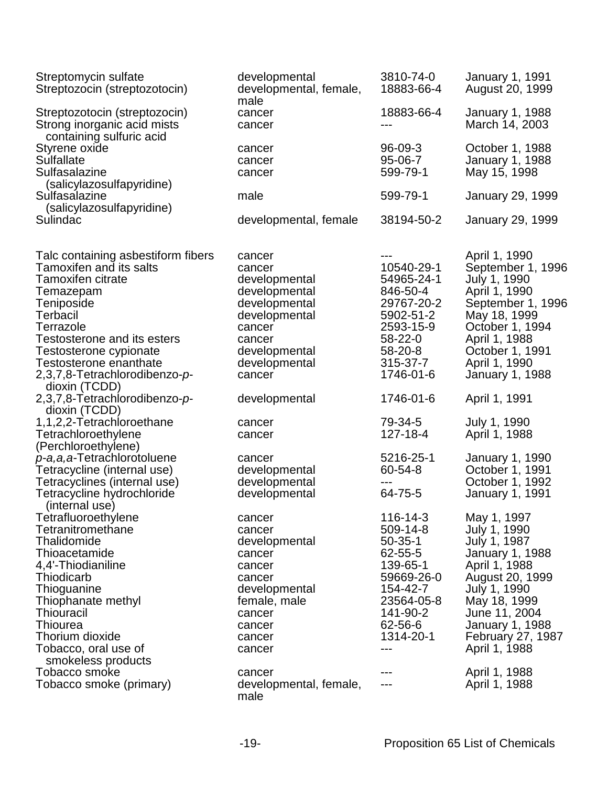| Streptomycin sulfate<br>Streptozocin (streptozotocin)                                                                                                                                                                                                                                            | developmental<br>developmental, female,<br>male                                                                                                      | 3810-74-0<br>18883-66-4                                                                                                                         | January 1, 1991<br>August 20, 1999                                                                                                                                                                                  |
|--------------------------------------------------------------------------------------------------------------------------------------------------------------------------------------------------------------------------------------------------------------------------------------------------|------------------------------------------------------------------------------------------------------------------------------------------------------|-------------------------------------------------------------------------------------------------------------------------------------------------|---------------------------------------------------------------------------------------------------------------------------------------------------------------------------------------------------------------------|
| Streptozotocin (streptozocin)<br>Strong inorganic acid mists<br>containing sulfuric acid                                                                                                                                                                                                         | cancer<br>cancer                                                                                                                                     | 18883-66-4<br>$---$                                                                                                                             | <b>January 1, 1988</b><br>March 14, 2003                                                                                                                                                                            |
| Styrene oxide<br><b>Sulfallate</b><br>Sulfasalazine                                                                                                                                                                                                                                              | cancer<br>cancer<br>cancer                                                                                                                           | $96 - 09 - 3$<br>95-06-7<br>599-79-1                                                                                                            | October 1, 1988<br><b>January 1, 1988</b><br>May 15, 1998                                                                                                                                                           |
| (salicylazosulfapyridine)<br>Sulfasalazine<br>(salicylazosulfapyridine)                                                                                                                                                                                                                          | male                                                                                                                                                 | 599-79-1                                                                                                                                        | <b>January 29, 1999</b>                                                                                                                                                                                             |
| Sulindac                                                                                                                                                                                                                                                                                         | developmental, female                                                                                                                                | 38194-50-2                                                                                                                                      | <b>January 29, 1999</b>                                                                                                                                                                                             |
| Talc containing asbestiform fibers<br><b>Tamoxifen and its salts</b><br><b>Tamoxifen citrate</b><br>Temazepam<br>Teniposide<br>Terbacil<br>Terrazole<br><b>Testosterone and its esters</b><br>Testosterone cypionate<br>Testosterone enanthate<br>2,3,7,8-Tetrachlorodibenzo-p-<br>dioxin (TCDD) | cancer<br>cancer<br>developmental<br>developmental<br>developmental<br>developmental<br>cancer<br>cancer<br>developmental<br>developmental<br>cancer | 10540-29-1<br>54965-24-1<br>846-50-4<br>29767-20-2<br>5902-51-2<br>2593-15-9<br>58-22-0<br>58-20-8<br>315-37-7<br>1746-01-6                     | April 1, 1990<br>September 1, 1996<br>July 1, 1990<br>April 1, 1990<br>September 1, 1996<br>May 18, 1999<br>October 1, 1994<br>April 1, 1988<br>October 1, 1991<br>April 1, 1990<br><b>January 1, 1988</b>          |
| 2,3,7,8-Tetrachlorodibenzo-p-                                                                                                                                                                                                                                                                    | developmental                                                                                                                                        | 1746-01-6                                                                                                                                       | April 1, 1991                                                                                                                                                                                                       |
| dioxin (TCDD)<br>1,1,2,2-Tetrachloroethane<br>Tetrachloroethylene<br>(Perchloroethylene)<br>p-a,a,a-Tetrachlorotoluene                                                                                                                                                                           | cancer<br>cancer<br>cancer                                                                                                                           | 79-34-5<br>127-18-4<br>5216-25-1                                                                                                                | July 1, 1990<br>April 1, 1988<br><b>January 1, 1990</b>                                                                                                                                                             |
| Tetracycline (internal use)<br>Tetracyclines (internal use)<br>Tetracycline hydrochloride                                                                                                                                                                                                        | developmental<br>developmental<br>developmental                                                                                                      | 60-54-8<br>---<br>64-75-5                                                                                                                       | October 1, 1991<br>October 1, 1992<br>January 1, 1991                                                                                                                                                               |
| (internal use)<br>Tetrafluoroethylene<br>Tetranitromethane<br>Thalidomide<br>Thioacetamide<br>4,4'-Thiodianiline<br>Thiodicarb<br>Thioguanine<br>Thiophanate methyl<br><b>Thiouracil</b><br>Thiourea<br>Thorium dioxide<br>Tobacco, oral use of<br>smokeless products                            | cancer<br>cancer<br>developmental<br>cancer<br>cancer<br>cancer<br>developmental<br>female, male<br>cancer<br>cancer<br>cancer<br>cancer             | 116-14-3<br>509-14-8<br>$50 - 35 - 1$<br>62-55-5<br>139-65-1<br>59669-26-0<br>154-42-7<br>23564-05-8<br>141-90-2<br>62-56-6<br>1314-20-1<br>--- | May 1, 1997<br>July 1, 1990<br>July 1, 1987<br>January 1, 1988<br>April 1, 1988<br>August 20, 1999<br>July 1, 1990<br>May 18, 1999<br>June 11, 2004<br><b>January 1, 1988</b><br>February 27, 1987<br>April 1, 1988 |
| Tobacco smoke<br>Tobacco smoke (primary)                                                                                                                                                                                                                                                         | cancer<br>developmental, female,<br>male                                                                                                             | ---                                                                                                                                             | April 1, 1988<br>April 1, 1988                                                                                                                                                                                      |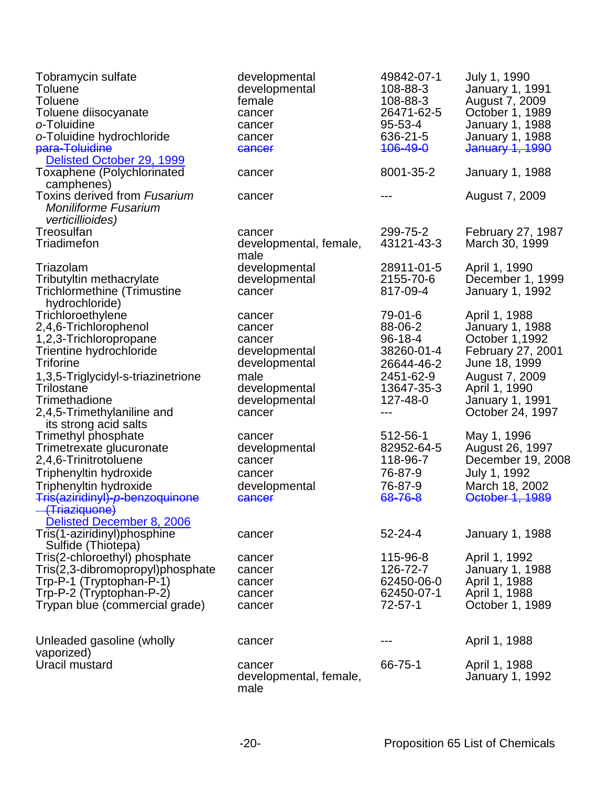| Tobramycin sulfate<br><b>Toluene</b><br><b>Toluene</b><br>Toluene diisocyanate<br>o-Toluidine<br>o-Toluidine hydrochloride<br>para-Toluidine                                                                                                    | developmental<br>developmental<br>female<br>cancer<br>cancer<br>cancer<br>cancer                                 | 49842-07-1<br>108-88-3<br>108-88-3<br>26471-62-5<br>95-53-4<br>636-21-5<br><del>106-49-0</del>         | July 1, 1990<br><b>January 1, 1991</b><br>August 7, 2009<br>October 1, 1989<br>January 1, 1988<br>January 1, 1988<br>January 1, 1990                                                    |
|-------------------------------------------------------------------------------------------------------------------------------------------------------------------------------------------------------------------------------------------------|------------------------------------------------------------------------------------------------------------------|--------------------------------------------------------------------------------------------------------|-----------------------------------------------------------------------------------------------------------------------------------------------------------------------------------------|
| Delisted October 29, 1999<br>Toxaphene (Polychlorinated<br>camphenes)                                                                                                                                                                           | cancer                                                                                                           | 8001-35-2                                                                                              | January 1, 1988                                                                                                                                                                         |
| Toxins derived from Fusarium<br><b>Moniliforme Fusarium</b><br><i>verticillioides)</i>                                                                                                                                                          | cancer                                                                                                           |                                                                                                        | August 7, 2009                                                                                                                                                                          |
| Treosulfan<br>Triadimefon                                                                                                                                                                                                                       | cancer<br>developmental, female,<br>male                                                                         | 299-75-2<br>43121-43-3                                                                                 | February 27, 1987<br>March 30, 1999                                                                                                                                                     |
| Triazolam<br>Tributyltin methacrylate<br><b>Trichlormethine (Trimustine</b><br>hydrochloride)                                                                                                                                                   | developmental<br>developmental<br>cancer                                                                         | 28911-01-5<br>2155-70-6<br>817-09-4                                                                    | April 1, 1990<br>December 1, 1999<br>January 1, 1992                                                                                                                                    |
| Trichloroethylene<br>2,4,6-Trichlorophenol<br>1,2,3-Trichloropropane<br>Trientine hydrochloride<br><b>Triforine</b><br>1,3,5-Triglycidyl-s-triazinetrione<br>Trilostane<br>Trimethadione<br>2,4,5-Trimethylaniline and<br>its strong acid salts | cancer<br>cancer<br>cancer<br>developmental<br>developmental<br>male<br>developmental<br>developmental<br>cancer | 79-01-6<br>88-06-2<br>$96 - 18 - 4$<br>38260-01-4<br>26644-46-2<br>2451-62-9<br>13647-35-3<br>127-48-0 | April 1, 1988<br><b>January 1, 1988</b><br>October 1,1992<br><b>February 27, 2001</b><br>June 18, 1999<br>August 7, 2009<br>April 1, 1990<br><b>January 1, 1991</b><br>October 24, 1997 |
| Trimethyl phosphate<br>Trimetrexate glucuronate<br>2,4,6-Trinitrotoluene<br>Triphenyltin hydroxide<br>Triphenyltin hydroxide<br>Tris(aziridinyl)-p-benzoquinone<br>(Triaziquone)                                                                | cancer<br>developmental<br>cancer<br>cancer<br>developmental<br>cancer                                           | 512-56-1<br>82952-64-5<br>118-96-7<br>76-87-9<br>76-87-9<br>68-76-8                                    | May 1, 1996<br>August 26, 1997<br>December 19, 2008<br>July 1, 1992<br>March 18, 2002<br>October 1, 1989                                                                                |
| Delisted December 8, 2006<br>Tris(1-aziridinyl)phosphine<br>Sulfide (Thiotepa)                                                                                                                                                                  | cancer                                                                                                           | $52 - 24 - 4$                                                                                          | <b>January 1, 1988</b>                                                                                                                                                                  |
| Tris(2-chloroethyl) phosphate<br>Tris(2,3-dibromopropyl)phosphate<br>Trp-P-1 (Tryptophan-P-1)<br>Trp-P-2 (Tryptophan-P-2)<br>Trypan blue (commercial grade)                                                                                     | cancer<br>cancer<br>cancer<br>cancer<br>cancer                                                                   | 115-96-8<br>126-72-7<br>62450-06-0<br>62450-07-1<br>72-57-1                                            | April 1, 1992<br>January 1, 1988<br>April 1, 1988<br>April 1, 1988<br>October 1, 1989                                                                                                   |
| Unleaded gasoline (wholly                                                                                                                                                                                                                       | cancer                                                                                                           |                                                                                                        | April 1, 1988                                                                                                                                                                           |
| vaporized)<br>Uracil mustard                                                                                                                                                                                                                    | cancer<br>developmental, female,<br>male                                                                         | 66-75-1                                                                                                | April 1, 1988<br>January 1, 1992                                                                                                                                                        |